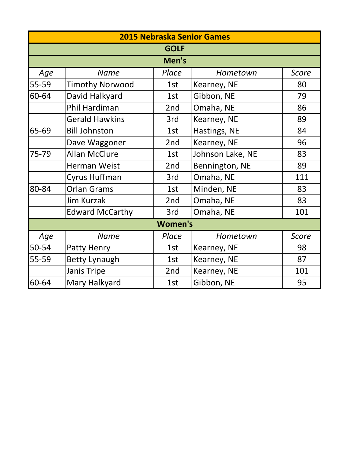|       | <b>2015 Nebraska Senior Games</b> |                |                  |              |  |  |
|-------|-----------------------------------|----------------|------------------|--------------|--|--|
|       |                                   | <b>GOLF</b>    |                  |              |  |  |
|       | Men's                             |                |                  |              |  |  |
| Age   | <b>Name</b>                       | Place          | Hometown         | Score        |  |  |
| 55-59 | <b>Timothy Norwood</b>            | 1st            | Kearney, NE      | 80           |  |  |
| 60-64 | David Halkyard                    | 1st            | Gibbon, NE       | 79           |  |  |
|       | Phil Hardiman                     | 2nd            | Omaha, NE        | 86           |  |  |
|       | <b>Gerald Hawkins</b>             | 3rd            | Kearney, NE      | 89           |  |  |
| 65-69 | <b>Bill Johnston</b>              | 1st            | Hastings, NE     | 84           |  |  |
|       | Dave Waggoner                     | 2nd            | Kearney, NE      | 96           |  |  |
| 75-79 | <b>Allan McClure</b>              | 1st            | Johnson Lake, NE | 83           |  |  |
|       | <b>Herman Weist</b>               | 2nd            | Bennington, NE   | 89           |  |  |
|       | Cyrus Huffman                     | 3rd            | Omaha, NE        | 111          |  |  |
| 80-84 | <b>Orlan Grams</b>                | 1st            | Minden, NE       | 83           |  |  |
|       | <b>Jim Kurzak</b>                 | 2nd            | Omaha, NE        | 83           |  |  |
|       | <b>Edward McCarthy</b>            | 3rd            | Omaha, NE        | 101          |  |  |
|       |                                   | <b>Women's</b> |                  |              |  |  |
| Age   | <b>Name</b>                       | Place          | Hometown         | <b>Score</b> |  |  |
| 50-54 | Patty Henry                       | 1st            | Kearney, NE      | 98           |  |  |
| 55-59 | <b>Betty Lynaugh</b>              | 1st            | Kearney, NE      | 87           |  |  |
|       | <b>Janis Tripe</b>                | 2nd            | Kearney, NE      | 101          |  |  |
| 60-64 | Mary Halkyard                     | 1st            | Gibbon, NE       | 95           |  |  |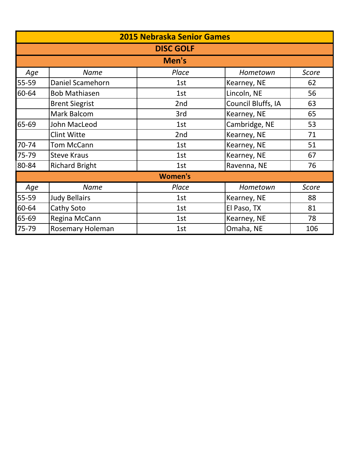|       | <b>2015 Nebraska Senior Games</b> |                |                    |              |  |  |  |
|-------|-----------------------------------|----------------|--------------------|--------------|--|--|--|
|       | <b>DISC GOLF</b>                  |                |                    |              |  |  |  |
|       | Men's                             |                |                    |              |  |  |  |
| Age   | <b>Name</b>                       | Place          | Hometown           | Score        |  |  |  |
| 55-59 | Daniel Scamehorn                  | 1st            | Kearney, NE        | 62           |  |  |  |
| 60-64 | <b>Bob Mathiasen</b>              | 1st            | Lincoln, NE        | 56           |  |  |  |
|       | <b>Brent Siegrist</b>             | 2nd            | Council Bluffs, IA | 63           |  |  |  |
|       | Mark Balcom                       | 3rd            | Kearney, NE        | 65           |  |  |  |
| 65-69 | John MacLeod                      | 1st            | Cambridge, NE      | 53           |  |  |  |
|       | <b>Clint Witte</b>                | 2nd            | Kearney, NE        | 71           |  |  |  |
| 70-74 | <b>Tom McCann</b>                 | 1st            | Kearney, NE        | 51           |  |  |  |
| 75-79 | <b>Steve Kraus</b>                | 1st            | Kearney, NE        | 67           |  |  |  |
| 80-84 | <b>Richard Bright</b>             | 1st            | Ravenna, NE        | 76           |  |  |  |
|       |                                   | <b>Women's</b> |                    |              |  |  |  |
| Age   | <b>Name</b>                       | Place          | Hometown           | <b>Score</b> |  |  |  |
| 55-59 | <b>Judy Bellairs</b>              | 1st            | Kearney, NE        | 88           |  |  |  |
| 60-64 | Cathy Soto                        | 1st            | El Paso, TX        | 81           |  |  |  |
| 65-69 | Regina McCann                     | 1st            | Kearney, NE        | 78           |  |  |  |
| 75-79 | <b>Rosemary Holeman</b>           | 1st            | Omaha, NE          | 106          |  |  |  |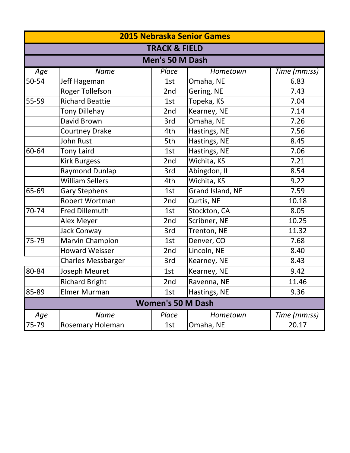|                          | <b>2015 Nebraska Senior Games</b> |       |                  |              |  |  |
|--------------------------|-----------------------------------|-------|------------------|--------------|--|--|
|                          | <b>TRACK &amp; FIELD</b>          |       |                  |              |  |  |
|                          | Men's 50 M Dash                   |       |                  |              |  |  |
| Age                      | <b>Name</b>                       | Place | Hometown         | Time (mm:ss) |  |  |
| 50-54                    | Jeff Hageman                      | 1st   | Omaha, NE        | 6.83         |  |  |
|                          | <b>Roger Tollefson</b>            | 2nd   | Gering, NE       | 7.43         |  |  |
| 55-59                    | <b>Richard Beattie</b>            | 1st   | Topeka, KS       | 7.04         |  |  |
|                          | <b>Tony Dillehay</b>              | 2nd   | Kearney, NE      | 7.14         |  |  |
|                          | David Brown                       | 3rd   | Omaha, NE        | 7.26         |  |  |
|                          | <b>Courtney Drake</b>             | 4th   | Hastings, NE     | 7.56         |  |  |
|                          | John Rust                         | 5th   | Hastings, NE     | 8.45         |  |  |
| 60-64                    | <b>Tony Laird</b>                 | 1st   | Hastings, NE     | 7.06         |  |  |
|                          | <b>Kirk Burgess</b>               | 2nd   | Wichita, KS      | 7.21         |  |  |
|                          | <b>Raymond Dunlap</b>             | 3rd   | Abingdon, IL     | 8.54         |  |  |
|                          | <b>William Sellers</b>            | 4th   | Wichita, KS      | 9.22         |  |  |
| 65-69                    | <b>Gary Stephens</b>              | 1st   | Grand Island, NE | 7.59         |  |  |
|                          | Robert Wortman                    | 2nd   | Curtis, NE       | 10.18        |  |  |
| 70-74                    | <b>Fred Dillemuth</b>             | 1st   | Stockton, CA     | 8.05         |  |  |
|                          | Alex Meyer                        | 2nd   | Scribner, NE     | 10.25        |  |  |
|                          | Jack Conway                       | 3rd   | Trenton, NE      | 11.32        |  |  |
| 75-79                    | Marvin Champion                   | 1st   | Denver, CO       | 7.68         |  |  |
|                          | <b>Howard Weisser</b>             | 2nd   | Lincoln, NE      | 8.40         |  |  |
|                          | <b>Charles Messbarger</b>         | 3rd   | Kearney, NE      | 8.43         |  |  |
| 80-84                    | Joseph Meuret                     | 1st   | Kearney, NE      | 9.42         |  |  |
|                          | <b>Richard Bright</b>             | 2nd   | Ravenna, NE      | 11.46        |  |  |
| 85-89                    | <b>Elmer Murman</b>               | 1st   | Hastings, NE     | 9.36         |  |  |
| <b>Women's 50 M Dash</b> |                                   |       |                  |              |  |  |
| Age                      | <b>Name</b>                       | Place | Hometown         | Time (mm:ss) |  |  |
| 75-79                    | <b>Rosemary Holeman</b>           | 1st   | Omaha, NE        | 20.17        |  |  |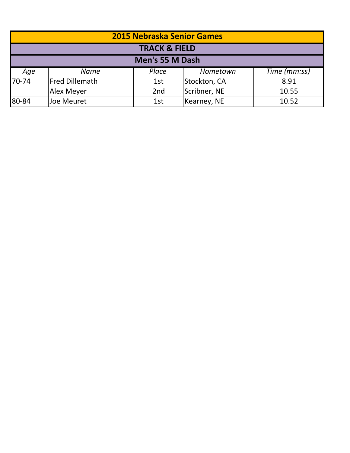| <b>2015 Nebraska Senior Games</b> |                                            |       |              |              |  |  |
|-----------------------------------|--------------------------------------------|-------|--------------|--------------|--|--|
|                                   | <b>TRACK &amp; FIELD</b>                   |       |              |              |  |  |
| Men's 55 M Dash                   |                                            |       |              |              |  |  |
| Age                               | <b>Name</b>                                | Place | Hometown     | Time (mm:ss) |  |  |
| $70 - 74$                         | Fred Dillemath                             | 1st   | Stockton, CA | 8.91         |  |  |
|                                   | Scribner, NE<br>Alex Meyer<br>2nd<br>10.55 |       |              |              |  |  |
| 80-84                             | Joe Meuret                                 | 1st   | Kearney, NE  | 10.52        |  |  |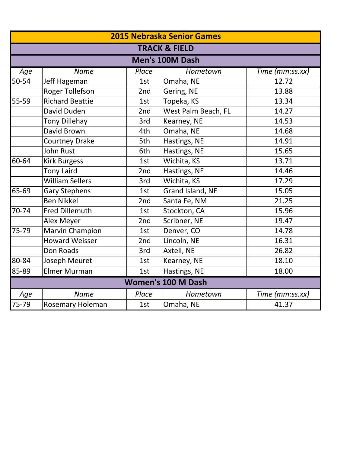| <b>2015 Nebraska Senior Games</b> |                          |       |                      |                 |  |  |
|-----------------------------------|--------------------------|-------|----------------------|-----------------|--|--|
|                                   | <b>TRACK &amp; FIELD</b> |       |                      |                 |  |  |
|                                   | Men's 100M Dash          |       |                      |                 |  |  |
| Age                               | <b>Name</b>              | Place | Hometown             | Time (mm:ss.xx) |  |  |
| 50-54                             | Jeff Hageman             | 1st   | Omaha, NE            | 12.72           |  |  |
|                                   | <b>Roger Tollefson</b>   | 2nd   | Gering, NE           | 13.88           |  |  |
| $\overline{5}$ 5-59               | <b>Richard Beattie</b>   | 1st   | Topeka, KS           | 13.34           |  |  |
|                                   | David Duden              | 2nd   | West Palm Beach, FL  | 14.27           |  |  |
|                                   | Tony Dillehay            | 3rd   | Kearney, NE<br>14.53 |                 |  |  |
|                                   | David Brown              | 4th   | Omaha, NE            | 14.68           |  |  |
|                                   | <b>Courtney Drake</b>    | 5th   | Hastings, NE         | 14.91           |  |  |
|                                   | <b>John Rust</b>         | 6th   | Hastings, NE         | 15.65           |  |  |
| 60-64                             | <b>Kirk Burgess</b>      | 1st   | Wichita, KS          | 13.71           |  |  |
|                                   | <b>Tony Laird</b>        | 2nd   | Hastings, NE         | 14.46           |  |  |
|                                   | <b>William Sellers</b>   | 3rd   | Wichita, KS          | 17.29           |  |  |
| 65-69                             | <b>Gary Stephens</b>     | 1st   | Grand Island, NE     | 15.05           |  |  |
|                                   | <b>Ben Nikkel</b>        | 2nd   | Santa Fe, NM         | 21.25           |  |  |
| 70-74                             | <b>Fred Dillemuth</b>    | 1st   | Stockton, CA         | 15.96           |  |  |
|                                   | Alex Meyer               | 2nd   | Scribner, NE         | 19.47           |  |  |
| 75-79                             | <b>Marvin Champion</b>   | 1st   | Denver, CO           | 14.78           |  |  |
|                                   | <b>Howard Weisser</b>    | 2nd   | Lincoln, NE          | 16.31           |  |  |
|                                   | Don Roads                | 3rd   | Axtell, NE           | 26.82           |  |  |
| 80-84                             | <b>Joseph Meuret</b>     | 1st   | Kearney, NE          | 18.10           |  |  |
| 85-89                             | <b>Elmer Murman</b>      | 1st   | Hastings, NE         | 18.00           |  |  |
| <b>Women's 100 M Dash</b>         |                          |       |                      |                 |  |  |
| Age                               | <b>Name</b>              | Place | Hometown             | Time (mm:ss.xx) |  |  |
| 75-79                             | <b>Rosemary Holeman</b>  | 1st   | Omaha, NE            | 41.37           |  |  |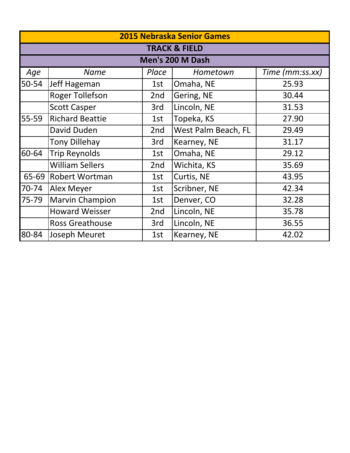| <b>2015 Nebraska Senior Games</b> |                          |       |                     |                 |  |  |
|-----------------------------------|--------------------------|-------|---------------------|-----------------|--|--|
|                                   | <b>TRACK &amp; FIELD</b> |       |                     |                 |  |  |
|                                   |                          |       | Men's 200 M Dash    |                 |  |  |
| Age                               | <b>Name</b>              | Place | Hometown            | Time (mm:ss.xx) |  |  |
| 50-54                             | Jeff Hageman             | 1st   | Omaha, NE           | 25.93           |  |  |
|                                   | <b>Roger Tollefson</b>   | 2nd   | Gering, NE          | 30.44           |  |  |
|                                   | <b>Scott Casper</b>      | 3rd   | Lincoln, NE         | 31.53           |  |  |
| 55-59                             | <b>Richard Beattie</b>   | 1st   | Topeka, KS          | 27.90           |  |  |
|                                   | David Duden              | 2nd   | West Palm Beach, FL | 29.49           |  |  |
|                                   | <b>Tony Dillehay</b>     | 3rd   | Kearney, NE         | 31.17           |  |  |
| 60-64                             | <b>Trip Reynolds</b>     | 1st   | Omaha, NE           | 29.12           |  |  |
|                                   | <b>William Sellers</b>   | 2nd   | Wichita, KS         | 35.69           |  |  |
| 65-69                             | <b>Robert Wortman</b>    | 1st   | Curtis, NE          | 43.95           |  |  |
| 70-74                             | <b>Alex Meyer</b>        | 1st   | Scribner, NE        | 42.34           |  |  |
| 75-79                             | Marvin Champion          | 1st   | Denver, CO          | 32.28           |  |  |
|                                   | <b>Howard Weisser</b>    | 2nd   | Lincoln, NE         | 35.78           |  |  |
|                                   | <b>Ross Greathouse</b>   | 3rd   | Lincoln, NE         | 36.55           |  |  |
| 80-84                             | Joseph Meuret            | 1st   | Kearney, NE         | 42.02           |  |  |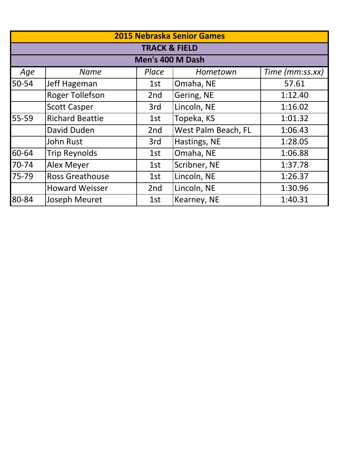|       | <b>2015 Nebraska Senior Games</b> |                          |                     |                 |  |
|-------|-----------------------------------|--------------------------|---------------------|-----------------|--|
|       |                                   | <b>TRACK &amp; FIELD</b> |                     |                 |  |
|       |                                   | Men's 400 M Dash         |                     |                 |  |
| Age   | <b>Name</b>                       | Place                    | Hometown            | Time (mm:ss.xx) |  |
| 50-54 | Jeff Hageman                      | 1st                      | Omaha, NE           | 57.61           |  |
|       | <b>Roger Tollefson</b>            | 2 <sub>nd</sub>          | Gering, NE          | 1:12.40         |  |
|       | <b>Scott Casper</b>               | 3rd                      | Lincoln, NE         | 1:16.02         |  |
| 55-59 | <b>Richard Beattie</b>            | 1st                      | Topeka, KS          | 1:01.32         |  |
|       | David Duden                       | 2 <sub>nd</sub>          | West Palm Beach, FL | 1:06.43         |  |
|       | <b>John Rust</b>                  | 3rd                      | Hastings, NE        | 1:28.05         |  |
| 60-64 | <b>Trip Reynolds</b>              | 1st                      | Omaha, NE           | 1:06.88         |  |
| 70-74 | Alex Meyer                        | 1st                      | Scribner, NE        | 1:37.78         |  |
| 75-79 | <b>Ross Greathouse</b>            | 1st                      | Lincoln, NE         | 1:26.37         |  |
|       | <b>Howard Weisser</b>             | 2nd                      | Lincoln, NE         | 1:30.96         |  |
| 80-84 | <b>Joseph Meuret</b>              | 1st                      | Kearney, NE         | 1:40.31         |  |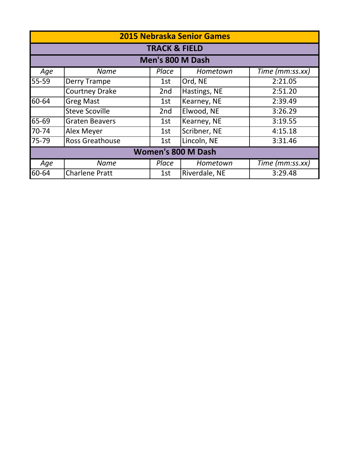|                           | <b>2015 Nebraska Senior Games</b> |                 |               |                 |  |  |
|---------------------------|-----------------------------------|-----------------|---------------|-----------------|--|--|
|                           | <b>TRACK &amp; FIELD</b>          |                 |               |                 |  |  |
|                           | Men's 800 M Dash                  |                 |               |                 |  |  |
| Age                       | <b>Name</b>                       | Place           | Hometown      | Time (mm:ss.xx) |  |  |
| 55-59                     | Derry Trampe                      | 1st             | Ord, NE       | 2:21.05         |  |  |
|                           | <b>Courtney Drake</b>             | 2 <sub>nd</sub> | Hastings, NE  | 2:51.20         |  |  |
| 60-64                     | <b>Greg Mast</b>                  | 1st             | Kearney, NE   | 2:39.49         |  |  |
|                           | <b>Steve Scoville</b>             | 2 <sub>nd</sub> | Elwood, NE    | 3:26.29         |  |  |
| $165 - 69$                | <b>Graten Beavers</b>             | 1st             | Kearney, NE   | 3:19.55         |  |  |
| 70-74                     | Alex Meyer                        | 1st             | Scribner, NE  | 4:15.18         |  |  |
| 75-79                     | <b>Ross Greathouse</b>            | 1st             | Lincoln, NE   | 3:31.46         |  |  |
| <b>Women's 800 M Dash</b> |                                   |                 |               |                 |  |  |
| Age                       | <b>Name</b>                       | Place           | Hometown      | Time (mm:ss.xx) |  |  |
| 60-64                     | <b>Charlene Pratt</b>             | 1st             | Riverdale, NE | 3:29.48         |  |  |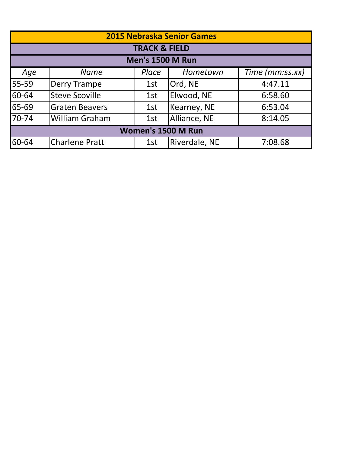| <b>2015 Nebraska Senior Games</b> |                       |                          |               |                 |  |
|-----------------------------------|-----------------------|--------------------------|---------------|-----------------|--|
|                                   |                       | <b>TRACK &amp; FIELD</b> |               |                 |  |
|                                   |                       | <b>Men's 1500 M Run</b>  |               |                 |  |
| Age                               | <b>Name</b>           | Place                    | Hometown      | Time (mm:ss.xx) |  |
| 55-59                             | <b>Derry Trampe</b>   | 1st                      | Ord, NE       | 4:47.11         |  |
| 60-64                             | <b>Steve Scoville</b> | 1st                      | Elwood, NE    | 6:58.60         |  |
| 65-69                             | <b>Graten Beavers</b> | 1st                      | Kearney, NE   | 6:53.04         |  |
| 70-74                             | <b>William Graham</b> | 1st                      | Alliance, NE  | 8:14.05         |  |
| Women's 1500 M Run                |                       |                          |               |                 |  |
| 60-64                             | <b>Charlene Pratt</b> | 1st                      | Riverdale, NE | 7:08.68         |  |
|                                   |                       |                          |               |                 |  |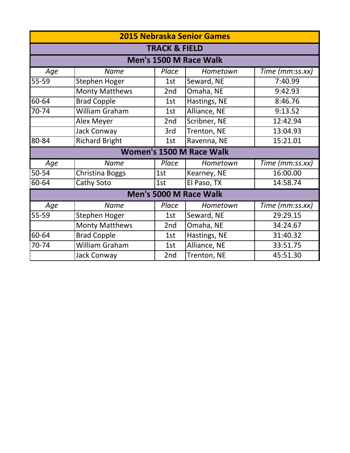| <b>2015 Nebraska Senior Games</b> |                          |       |                                 |                 |  |  |  |
|-----------------------------------|--------------------------|-------|---------------------------------|-----------------|--|--|--|
|                                   | <b>TRACK &amp; FIELD</b> |       |                                 |                 |  |  |  |
|                                   | Men's 1500 M Race Walk   |       |                                 |                 |  |  |  |
| Age                               | <b>Name</b>              | Place | Hometown                        | Time (mm:ss.xx) |  |  |  |
| 55-59                             | Stephen Hoger            | 1st   | Seward, NE                      | 7:40.99         |  |  |  |
|                                   | <b>Monty Matthews</b>    | 2nd   | Omaha, NE                       | 9:42.93         |  |  |  |
| 60-64                             | <b>Brad Copple</b>       | 1st   | Hastings, NE                    | 8:46.76         |  |  |  |
| 70-74                             | William Graham           | 1st   | Alliance, NE                    | 9:13.52         |  |  |  |
|                                   | Alex Meyer               | 2nd   | Scribner, NE                    | 12:42.94        |  |  |  |
|                                   | Jack Conway              | 3rd   | Trenton, NE                     | 13:04.93        |  |  |  |
| 80-84                             | <b>Richard Bright</b>    | 1st   | Ravenna, NE                     | 15:21.01        |  |  |  |
|                                   |                          |       | <b>Women's 1500 M Race Walk</b> |                 |  |  |  |
| Age                               | <b>Name</b>              | Place | Hometown                        | Time (mm:ss.xx) |  |  |  |
| 50-54                             | <b>Christina Boggs</b>   | 1st   | Kearney, NE                     | 16:00.00        |  |  |  |
| 60-64                             | Cathy Soto               | 1st   | El Paso, TX                     | 14:58.74        |  |  |  |
|                                   |                          |       | Men's 5000 M Race Walk          |                 |  |  |  |
| Age                               | <b>Name</b>              | Place | Hometown                        | Time (mm:ss.xx) |  |  |  |
| 55-59                             | Stephen Hoger            | 1st   | Seward, NE                      | 29:29.15        |  |  |  |
|                                   | <b>Monty Matthews</b>    | 2nd   | Omaha, NE                       | 34:24.67        |  |  |  |
| 60-64                             | <b>Brad Copple</b>       | 1st   | Hastings, NE                    | 31:40.32        |  |  |  |
| 70-74                             | William Graham           | 1st   | Alliance, NE                    | 33:51.75        |  |  |  |
|                                   | Jack Conway              | 2nd   | Trenton, NE                     | 45:51.30        |  |  |  |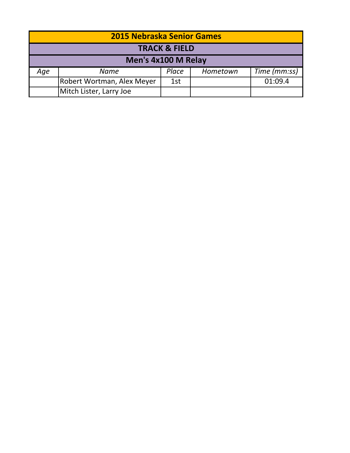| <b>2015 Nebraska Senior Games</b> |                            |       |          |              |  |
|-----------------------------------|----------------------------|-------|----------|--------------|--|
| <b>TRACK &amp; FIELD</b>          |                            |       |          |              |  |
|                                   | Men's 4x100 M Relay        |       |          |              |  |
| Aqe                               | Name                       | Place | Hometown | Time (mm:ss) |  |
|                                   | Robert Wortman, Alex Meyer | 1st   |          | 01:09.4      |  |
|                                   | Mitch Lister, Larry Joe    |       |          |              |  |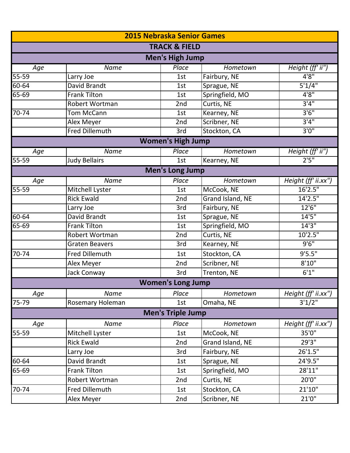|       | 2015 Nebraska Senior Games |                          |                  |                     |  |  |
|-------|----------------------------|--------------------------|------------------|---------------------|--|--|
|       |                            | <b>TRACK &amp; FIELD</b> |                  |                     |  |  |
|       |                            | <b>Men's High Jump</b>   |                  |                     |  |  |
| Age   | <b>Name</b>                | Place                    | Hometown         | Height (ff' ii")    |  |  |
| 55-59 | Larry Joe                  | 1st                      | Fairbury, NE     | 4'8''               |  |  |
| 60-64 | David Brandt               | 1st                      | Sprague, NE      | 5'1/4"              |  |  |
| 65-69 | <b>Frank Tilton</b>        | 1st                      | Springfield, MO  | 4'8''               |  |  |
|       | <b>Robert Wortman</b>      | 2nd                      | Curtis, NE       | 3'4''               |  |  |
| 70-74 | <b>Tom McCann</b>          | 1st                      | Kearney, NE      | 3'6''               |  |  |
|       | Alex Meyer                 | 2nd                      | Scribner, NE     | 3'4''               |  |  |
|       | <b>Fred Dillemuth</b>      | 3rd                      | Stockton, CA     | 3'0''               |  |  |
|       |                            | <b>Women's High Jump</b> |                  |                     |  |  |
| Age   | <b>Name</b>                | Place                    | Hometown         | Height (ff' ii")    |  |  |
| 55-59 | <b>Judy Bellairs</b>       | 1st                      | Kearney, NE      | 2'5''               |  |  |
|       |                            | <b>Men's Long Jump</b>   |                  |                     |  |  |
| Age   | <b>Name</b>                | Place                    | Hometown         | Height (ff' ii.xx") |  |  |
| 55-59 | Mitchell Lyster            | 1st                      | McCook, NE       | 16'2.5"             |  |  |
|       | <b>Rick Ewald</b>          | 2nd                      | Grand Island, NE | 14'2.5"             |  |  |
|       | Larry Joe                  | 3rd                      | Fairbury, NE     | 12'6''              |  |  |
| 60-64 | David Brandt               | 1st                      | Sprague, NE      | 14'5''              |  |  |
| 65-69 | <b>Frank Tilton</b>        | 1st                      | Springfield, MO  | 14'3''              |  |  |
|       | Robert Wortman             | 2nd                      | Curtis, NE       | 10'2.5"             |  |  |
|       | <b>Graten Beavers</b>      | 3rd                      | Kearney, NE      | 9'6''               |  |  |
| 70-74 | <b>Fred Dillemuth</b>      | 1st                      | Stockton, CA     | 9'5.5"              |  |  |
|       | Alex Meyer                 | 2nd                      | Scribner, NE     | 8'10''              |  |  |
|       | Jack Conway                | 3rd                      | Trenton, NE      | 6'1''               |  |  |
|       |                            | <b>Women's Long Jump</b> |                  |                     |  |  |
| Age   | Name                       | Place                    | Hometown         | Height (ff' ii.xx") |  |  |
| 75-79 | Rosemary Holeman           | 1st                      | Omaha, NE        | 3'1/2"              |  |  |
|       |                            | <b>Men's Triple Jump</b> |                  |                     |  |  |
| Age   | <b>Name</b>                | Place                    | Hometown         | Height (ff' ii.xx") |  |  |
| 55-59 | Mitchell Lyster            | 1st                      | McCook, NE       | 35'0"               |  |  |
|       | <b>Rick Ewald</b>          | 2nd                      | Grand Island, NE | 29'3"               |  |  |
|       | Larry Joe                  | 3rd                      | Fairbury, NE     | 26'1.5"             |  |  |
| 60-64 | David Brandt               | 1st                      | Sprague, NE      | 24'9.5"             |  |  |
| 65-69 | <b>Frank Tilton</b>        | 1st                      | Springfield, MO  | 28'11"              |  |  |
|       | Robert Wortman             | 2nd                      | Curtis, NE       | 20'0"               |  |  |
| 70-74 | Fred Dillemuth             | 1st                      | Stockton, CA     | 21'10''             |  |  |
|       | Alex Meyer                 | 2nd                      | Scribner, NE     | 21'0"               |  |  |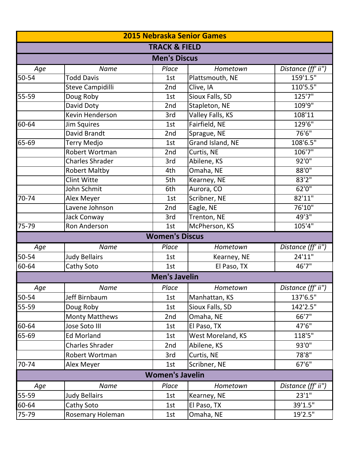| <b>2015 Nebraska Senior Games</b> |                        |                          |                   |                    |  |  |
|-----------------------------------|------------------------|--------------------------|-------------------|--------------------|--|--|
|                                   |                        | <b>TRACK &amp; FIELD</b> |                   |                    |  |  |
|                                   |                        | <b>Men's Discus</b>      |                   |                    |  |  |
| Age                               | <b>Name</b>            | Place                    | Hometown          | Distance (ff' ii") |  |  |
| $50 - 54$                         | Todd Davis             | 1st                      | Plattsmouth, NE   | 159'1.5"           |  |  |
|                                   | Steve Campidilli       | 2nd                      | Clive, IA         | 110'5.5"           |  |  |
| 55-59                             | Doug Roby              | 1st                      | Sioux Falls, SD   | 125'7"             |  |  |
|                                   | David Doty             | 2nd                      | Stapleton, NE     | 109'9"             |  |  |
|                                   | Kevin Henderson        | 3rd                      | Valley Falls, KS  | 108'11             |  |  |
| 60-64                             | <b>Jim Squires</b>     | 1st                      | Fairfield, NE     | 129'6"             |  |  |
|                                   | David Brandt           | 2nd                      | Sprague, NE       | 76'6"              |  |  |
| 65-69                             | Terry Medjo            | 1st                      | Grand Island, NE  | 108'6.5"           |  |  |
|                                   | Robert Wortman         | 2nd                      | Curtis, NE        | 106'7"             |  |  |
|                                   | <b>Charles Shrader</b> | 3rd                      | Abilene, KS       | 92'0''             |  |  |
|                                   | <b>Robert Maltby</b>   | 4th                      | Omaha, NE         | 88'0"              |  |  |
|                                   | <b>Clint Witte</b>     | 5th                      | Kearney, NE       | 83'2''             |  |  |
|                                   | John Schmit            | 6th                      | Aurora, CO        | 62'0''             |  |  |
| 70-74                             | Alex Meyer             | 1st                      | Scribner, NE      | 82'11"             |  |  |
|                                   | Lavene Johnson         | 2nd                      | Eagle, NE         | 76'10"             |  |  |
|                                   | Jack Conway            | 3rd                      | Trenton, NE       | 49'3"              |  |  |
| $75 - 79$                         | <b>Ron Anderson</b>    | 1st                      | McPherson, KS     | 105'4''            |  |  |
|                                   |                        | <b>Women's Discus</b>    |                   |                    |  |  |
| Age                               | Name                   | Place                    | Hometown          | Distance (ff' ii") |  |  |
| 50-54                             | <b>Judy Bellairs</b>   | 1st                      | Kearney, NE       | 24'11"             |  |  |
| 60-64                             | Cathy Soto             | 1st                      | El Paso, TX       | 46'7"              |  |  |
|                                   |                        | <b>Men's Javelin</b>     |                   |                    |  |  |
| Age                               | Name                   | Place                    | Hometown          | Distance (ff' ii") |  |  |
| 50-54                             | Jeff Birnbaum          | 1st                      | Manhattan, KS     | 137'6.5"           |  |  |
| 55-59                             | Doug Roby              | 1st                      | Sioux Falls, SD   | 142'2.5"           |  |  |
|                                   | <b>Monty Matthews</b>  | 2nd                      | Omaha, NE         | 66'7"              |  |  |
| 60-64                             | Jose Soto III          | 1st                      | El Paso, TX       | 47'6"              |  |  |
| 65-69                             | <b>Ed Morland</b>      | 1st                      | West Moreland, KS | 118'5"             |  |  |
|                                   | <b>Charles Shrader</b> | 2nd                      | Abilene, KS       | 93'0"              |  |  |
|                                   | Robert Wortman         | 3rd                      | Curtis, NE        | 78'8"              |  |  |
| 70-74                             | Alex Meyer             | 1st                      | Scribner, NE      | 67'6"              |  |  |
|                                   |                        | <b>Women's Javelin</b>   |                   |                    |  |  |
| Age                               | <b>Name</b>            | Place                    | Hometown          | Distance (ff' ii") |  |  |
| 55-59                             | <b>Judy Bellairs</b>   | 1st                      | Kearney, NE       | 23'1''             |  |  |
| 60-64                             | Cathy Soto             | 1st                      | El Paso, TX       | 39'1.5"            |  |  |
| 75-79                             | Rosemary Holeman       | 1st                      | Omaha, NE         | 19'2.5"            |  |  |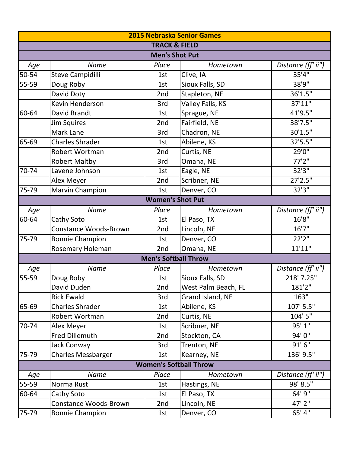| <b>2015 Nebraska Senior Games</b> |                              |                             |                     |                    |  |  |
|-----------------------------------|------------------------------|-----------------------------|---------------------|--------------------|--|--|
|                                   |                              | <b>TRACK &amp; FIELD</b>    |                     |                    |  |  |
|                                   |                              | <b>Men's Shot Put</b>       |                     |                    |  |  |
| Age                               | Name                         | Place                       | Hometown            | Distance (ff' ii") |  |  |
| 50-54                             | Steve Campidilli             | 1st                         | Clive, IA           | 35'4"              |  |  |
| 55-59                             | Doug Roby                    | 1st                         | Sioux Falls, SD     | 38'9"              |  |  |
|                                   | David Doty                   | 2nd                         | Stapleton, NE       | 36'1.5"            |  |  |
|                                   | Kevin Henderson              | 3rd                         | Valley Falls, KS    | 37'11"             |  |  |
| 60-64                             | David Brandt                 | 1st                         | Sprague, NE         | 41'9.5"            |  |  |
|                                   | <b>Jim Squires</b>           | 2nd                         | Fairfield, NE       | 38'7.5''           |  |  |
|                                   | Mark Lane                    | 3rd                         | Chadron, NE         | 30'1.5"            |  |  |
| 65-69                             | <b>Charles Shrader</b>       | 1st                         | Abilene, KS         | 32'5.5"            |  |  |
|                                   | Robert Wortman               | 2nd                         | Curtis, NE          | 29'0"              |  |  |
|                                   | <b>Robert Maltby</b>         | 3rd                         | Omaha, NE           | 77'2''             |  |  |
| 70-74                             | Lavene Johnson               | 1st                         | Eagle, NE           | 32'3"              |  |  |
|                                   | Alex Meyer                   | 2nd                         | Scribner, NE        | 27'2.5"            |  |  |
| $75-79$                           | <b>Marvin Champion</b>       | 1st                         | Denver, CO          | 32'3''             |  |  |
| <b>Women's Shot Put</b>           |                              |                             |                     |                    |  |  |
| Age                               | Name                         | Place                       | Hometown            | Distance (ff' ii") |  |  |
| 60-64                             | Cathy Soto                   | 1st                         | El Paso, TX         | 16'8"              |  |  |
|                                   | <b>Constance Woods-Brown</b> | 2nd                         | Lincoln, NE         | 16'7''             |  |  |
| 75-79                             | <b>Bonnie Champion</b>       | 1st                         | Denver, CO          | 22'2"              |  |  |
|                                   | Rosemary Holeman             | 2nd                         | Omaha, NE           | 11'11"             |  |  |
|                                   |                              | <b>Men's Softball Throw</b> |                     |                    |  |  |
| Age                               | Name                         | Place                       | Hometown            | Distance (ff' ii") |  |  |
| 55-59                             | Doug Roby                    | 1st                         | Sioux Falls, SD     | 218' 7.25"         |  |  |
|                                   | David Duden                  | 2nd                         | West Palm Beach, FL | 181'2"             |  |  |
|                                   | <b>Rick Ewald</b>            | 3rd                         | Grand Island, NE    | 163"               |  |  |
| 65-69                             | <b>Charles Shrader</b>       | 1st                         | Abilene, KS         | 107' 5.5"          |  |  |
|                                   | Robert Wortman               | 2nd                         | Curtis, NE          | 104' 5"            |  |  |
| 70-74                             | Alex Meyer                   | 1st                         | Scribner, NE        | 95' 1"             |  |  |
|                                   | Fred Dillemuth               | 2nd                         | Stockton, CA        | 94'0"              |  |  |
|                                   | Jack Conway                  | 3rd                         | Trenton, NE         | 91'6''             |  |  |
| 75-79                             | <b>Charles Messbarger</b>    | 1st                         | Kearney, NE         | 136' 9.5"          |  |  |
| <b>Women's Softball Throw</b>     |                              |                             |                     |                    |  |  |
| Age                               | <b>Name</b>                  | Place                       | Hometown            | Distance (ff' ii") |  |  |
| 55-59                             | Norma Rust                   | 1st                         | Hastings, NE        | 98' 8.5"           |  |  |
| 60-64                             | Cathy Soto                   | 1st                         | El Paso, TX         | 64' 9"             |  |  |
|                                   | <b>Constance Woods-Brown</b> | 2nd                         | Lincoln, NE         | 47' 2"             |  |  |
| 75-79                             | <b>Bonnie Champion</b>       | 1st                         | Denver, CO          | 65' 4"             |  |  |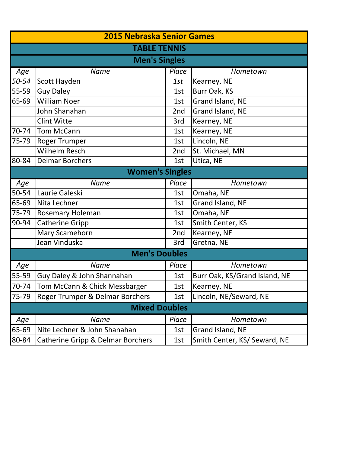| <b>2015 Nebraska Senior Games</b> |                                   |       |                               |  |  |  |
|-----------------------------------|-----------------------------------|-------|-------------------------------|--|--|--|
|                                   | <b>TABLE TENNIS</b>               |       |                               |  |  |  |
|                                   | <b>Men's Singles</b>              |       |                               |  |  |  |
| Age                               | <b>Name</b>                       | Place | Hometown                      |  |  |  |
| 50-54                             | Scott Hayden                      | 1st   | Kearney, NE                   |  |  |  |
| $\overline{55-59}$                | <b>Guy Daley</b>                  | 1st   | Burr Oak, KS                  |  |  |  |
| 65-69                             | <b>William Noer</b>               | 1st   | Grand Island, NE              |  |  |  |
|                                   | John Shanahan                     | 2nd   | Grand Island, NE              |  |  |  |
|                                   | <b>Clint Witte</b>                | 3rd   | Kearney, NE                   |  |  |  |
| 70-74                             | <b>Tom McCann</b>                 | 1st   | Kearney, NE                   |  |  |  |
| 75-79                             | Roger Trumper                     | 1st   | Lincoln, NE                   |  |  |  |
|                                   | Wilhelm Resch                     | 2nd   | St. Michael, MN               |  |  |  |
| 80-84                             | <b>Delmar Borchers</b>            | 1st   | Utica, NE                     |  |  |  |
|                                   | <b>Women's Singles</b>            |       |                               |  |  |  |
| Age                               | <b>Name</b>                       | Place | Hometown                      |  |  |  |
| 50-54                             | Laurie Galeski                    | 1st   | Omaha, NE                     |  |  |  |
| 65-69                             | Nita Lechner                      | 1st   | Grand Island, NE              |  |  |  |
| 75-79                             | <b>Rosemary Holeman</b>           | 1st   | Omaha, NE                     |  |  |  |
| 90-94                             | <b>Catherine Gripp</b>            | 1st   | Smith Center, KS              |  |  |  |
|                                   | Mary Scamehorn                    | 2nd   | Kearney, NE                   |  |  |  |
|                                   | Jean Vinduska                     | 3rd   | Gretna, NE                    |  |  |  |
|                                   | <b>Men's Doubles</b>              |       |                               |  |  |  |
| Age                               | <b>Name</b>                       | Place | Hometown                      |  |  |  |
| 55-59                             | Guy Daley & John Shannahan        | 1st   | Burr Oak, KS/Grand Island, NE |  |  |  |
| 70-74                             | Tom McCann & Chick Messbarger     | 1st   | Kearney, NE                   |  |  |  |
| 75-79                             | Roger Trumper & Delmar Borchers   | 1st   | Lincoln, NE/Seward, NE        |  |  |  |
|                                   | <b>Mixed Doubles</b>              |       |                               |  |  |  |
| Age                               | <b>Name</b>                       | Place | Hometown                      |  |  |  |
| 65-69                             | Nite Lechner & John Shanahan      | 1st   | Grand Island, NE              |  |  |  |
| 80-84                             | Catherine Gripp & Delmar Borchers | 1st   | Smith Center, KS/ Seward, NE  |  |  |  |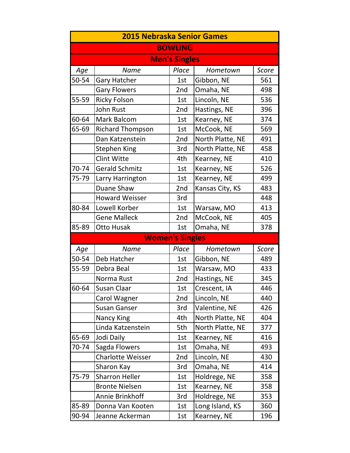| <b>2015 Nebraska Senior Games</b> |                         |                        |                  |              |  |
|-----------------------------------|-------------------------|------------------------|------------------|--------------|--|
|                                   |                         | <b>BOWLING</b>         |                  |              |  |
|                                   |                         | <b>Men's Singles</b>   |                  |              |  |
| Age                               | <b>Name</b>             | Place                  | Hometown         | <b>Score</b> |  |
| 50-54                             | <b>Gary Hatcher</b>     | 1st                    | Gibbon, NE       | 561          |  |
|                                   | <b>Gary Flowers</b>     | 2nd                    | Omaha, NE        | 498          |  |
| 55-59                             | <b>Ricky Folson</b>     | 1st                    | Lincoln, NE      | 536          |  |
|                                   | John Rust               | 2nd                    | Hastings, NE     | 396          |  |
| 60-64                             | <b>Mark Balcom</b>      | 1st                    | Kearney, NE      | 374          |  |
| 65-69                             | <b>Richard Thompson</b> | 1st                    | McCook, NE       | 569          |  |
|                                   | Dan Katzenstein         | 2nd                    | North Platte, NE | 491          |  |
|                                   | <b>Stephen King</b>     | 3rd                    | North Platte, NE | 458          |  |
|                                   | <b>Clint Witte</b>      | 4th                    | Kearney, NE      | 410          |  |
| 70-74                             | <b>Gerald Schmitz</b>   | 1st                    | Kearney, NE      | 526          |  |
| 75-79                             | Larry Harrington        | 1st                    | Kearney, NE      | 499          |  |
|                                   | Duane Shaw              | 2nd                    | Kansas City, KS  | 483          |  |
|                                   | <b>Howard Weisser</b>   | 3rd                    |                  | 448          |  |
| 80-84                             | Lowell Korber           | 1st                    | Warsaw, MO       | 413          |  |
|                                   | <b>Gene Malleck</b>     | 2nd                    | McCook, NE       | 405          |  |
| 85-89                             | Otto Husak              | 1st                    | Omaha, NE        | 378          |  |
|                                   |                         | <b>Women's Singles</b> |                  |              |  |
| Age                               | <b>Name</b>             | Place                  | Hometown         | Score        |  |
| 50-54                             | Deb Hatcher             | 1st                    | Gibbon, NE       | 489          |  |
| 55-59                             | Debra Beal              | 1st                    | Warsaw, MO       | 433          |  |
|                                   | Norma Rust              | 2nd                    | Hastings, NE     | 345          |  |
| 60-64                             | Susan Claar             | 1st                    | Crescent, IA     | 446          |  |
|                                   | Carol Wagner            | 2nd                    | Lincoln, NE      | 440          |  |
|                                   | <b>Susan Ganser</b>     | 3rd                    | Valentine, NE    | 426          |  |
|                                   | <b>Nancy King</b>       | 4th                    | North Platte, NE | 404          |  |
|                                   | Linda Katzenstein       | 5th                    | North Platte, NE | 377          |  |
| 65-69                             |                         |                        |                  |              |  |
|                                   | Jodi Daily              | 1st                    | Kearney, NE      | 416          |  |
| 70-74                             | Sagda Flowers           | 1st                    | Omaha, NE        | 493          |  |
|                                   | Charlotte Weisser       | 2nd                    | Lincoln, NE      | 430          |  |
|                                   | Sharon Kay              | 3rd                    | Omaha, NE        | 414          |  |
| 75-79                             | <b>Sharron Heller</b>   | 1st                    | Holdrege, NE     | 358          |  |
|                                   | <b>Bronte Nielsen</b>   | 1st                    | Kearney, NE      | 358          |  |
|                                   | Annie Brinkhoff         | 3rd                    | Holdrege, NE     | 353          |  |
| 85-89                             | Donna Van Kooten        | 1st                    | Long Island, KS  | 360          |  |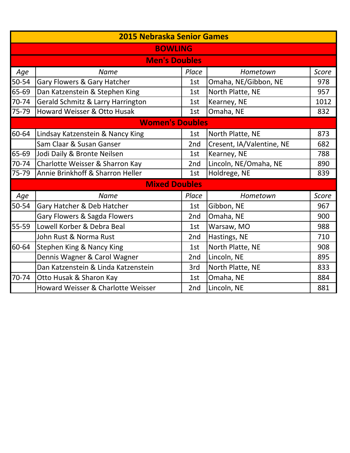|           | <b>2015 Nebraska Senior Games</b>    |       |                           |              |  |  |
|-----------|--------------------------------------|-------|---------------------------|--------------|--|--|
|           | <b>BOWLING</b>                       |       |                           |              |  |  |
|           | <b>Men's Doubles</b>                 |       |                           |              |  |  |
| Age       | <b>Name</b>                          | Place | Hometown                  | Score        |  |  |
| $50 - 54$ | Gary Flowers & Gary Hatcher          | 1st   | Omaha, NE/Gibbon, NE      | 978          |  |  |
| 65-69     | Dan Katzenstein & Stephen King       | 1st   | North Platte, NE          | 957          |  |  |
| 70-74     | Gerald Schmitz & Larry Harrington    | 1st   | Kearney, NE               | 1012         |  |  |
| 75-79     | Howard Weisser & Otto Husak          | 1st   | Omaha, NE                 | 832          |  |  |
|           | <b>Women's Doubles</b>               |       |                           |              |  |  |
| 60-64     | Lindsay Katzenstein & Nancy King     | 1st   | North Platte, NE          | 873          |  |  |
|           | Sam Claar & Susan Ganser             | 2nd   | Cresent, IA/Valentine, NE | 682          |  |  |
| 65-69     | Jodi Daily & Bronte Neilsen          | 1st   | Kearney, NE               | 788          |  |  |
| 70-74     | Charlotte Weisser & Sharron Kay      | 2nd   | Lincoln, NE/Omaha, NE     | 890          |  |  |
| 75-79     | Annie Brinkhoff & Sharron Heller     | 1st   | Holdrege, NE              | 839          |  |  |
|           | <b>Mixed Doubles</b>                 |       |                           |              |  |  |
| Age       | <b>Name</b>                          | Place | Hometown                  | <b>Score</b> |  |  |
| 50-54     | Gary Hatcher & Deb Hatcher           | 1st   | Gibbon, NE                | 967          |  |  |
|           | Gary Flowers & Sagda Flowers         | 2nd   | Omaha, NE                 | 900          |  |  |
| 55-59     | Lowell Korber & Debra Beal           | 1st   | Warsaw, MO                | 988          |  |  |
|           | John Rust & Norma Rust               | 2nd   | Hastings, NE              | 710          |  |  |
| 60-64     | <b>Stephen King &amp; Nancy King</b> | 1st   | North Platte, NE          | 908          |  |  |
|           | Dennis Wagner & Carol Wagner         | 2nd   | Lincoln, NE               | 895          |  |  |
|           | Dan Katzenstein & Linda Katzenstein  | 3rd   | North Platte, NE          | 833          |  |  |
| 70-74     | Otto Husak & Sharon Kay              | 1st   | Omaha, NE                 | 884          |  |  |
|           | Howard Weisser & Charlotte Weisser   | 2nd   | Lincoln, NE               | 881          |  |  |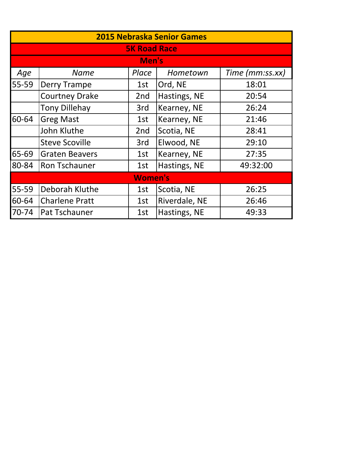|           | <b>2015 Nebraska Senior Games</b> |                     |               |                 |  |
|-----------|-----------------------------------|---------------------|---------------|-----------------|--|
|           |                                   | <b>5K Road Race</b> |               |                 |  |
|           |                                   | Men's               |               |                 |  |
| Age       | <b>Name</b>                       | Place               | Hometown      | Time (mm:ss.xx) |  |
| 55-59     | <b>Derry Trampe</b>               | 1st                 | Ord, NE       | 18:01           |  |
|           | <b>Courtney Drake</b>             | 2nd                 | Hastings, NE  | 20:54           |  |
|           | <b>Tony Dillehay</b>              | 3rd                 | Kearney, NE   | 26:24           |  |
| 60-64     | <b>Greg Mast</b>                  | 1st                 | Kearney, NE   | 21:46           |  |
|           | John Kluthe                       | 2nd                 | Scotia, NE    | 28:41           |  |
|           | <b>Steve Scoville</b>             | 3rd                 | Elwood, NE    | 29:10           |  |
| 65-69     | <b>Graten Beavers</b>             | 1st                 | Kearney, NE   | 27:35           |  |
| 80-84     | Ron Tschauner                     | 1st                 | Hastings, NE  | 49:32:00        |  |
|           |                                   | <b>Women's</b>      |               |                 |  |
| 55-59     | Deborah Kluthe                    | 1st                 | Scotia, NE    | 26:25           |  |
| 60-64     | <b>Charlene Pratt</b>             | 1st                 | Riverdale, NE | 26:46           |  |
| $70 - 74$ | Pat Tschauner                     | 1st                 | Hastings, NE  | 49:33           |  |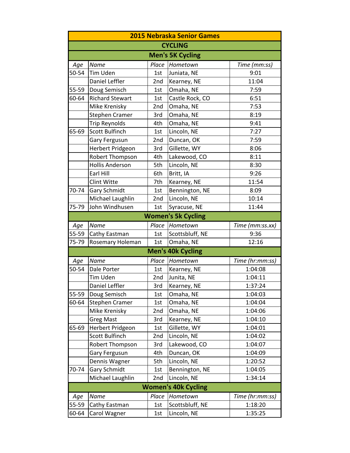| <b>2015 Nebraska Senior Games</b> |                        |       |                            |                 |
|-----------------------------------|------------------------|-------|----------------------------|-----------------|
|                                   |                        |       | <b>CYCLING</b>             |                 |
|                                   |                        |       | <b>Men's 5K Cycling</b>    |                 |
| Age                               | Name                   | Place | Hometown                   | Time (mm:ss)    |
| 50-54                             | Tim Uden               | 1st   | Juniata, NE                | 9:01            |
|                                   | Daniel Leffler         | 2nd   | Kearney, NE                | 11:04           |
| 55-59                             | Doug Semisch           | 1st   | Omaha, NE                  | 7:59            |
| 60-64                             | <b>Richard Stewart</b> | 1st   | Castle Rock, CO            | 6:51            |
|                                   | Mike Krenisky          | 2nd   | Omaha, NE                  | 7:53            |
|                                   | <b>Stephen Cramer</b>  | 3rd   | Omaha, NE                  | 8:19            |
|                                   | <b>Trip Reynolds</b>   | 4th   | Omaha, NE                  | 9:41            |
| 65-69                             | Scott Bulfinch         | 1st   | Lincoln, NE                | 7:27            |
|                                   | Gary Fergusun          | 2nd   | Duncan, OK                 | 7:59            |
|                                   | Herbert Pridgeon       | 3rd   | Gillette, WY               | 8:06            |
|                                   | Robert Thompson        | 4th   | Lakewood, CO               | 8:11            |
|                                   | <b>Hollis Anderson</b> | 5th   | Lincoln, NE                | 8:30            |
|                                   | Earl Hill              | 6th   | Britt, IA                  | 9:26            |
|                                   | <b>Clint Witte</b>     | 7th   | Kearney, NE                | 11:54           |
| 70-74                             | <b>Gary Schmidt</b>    | 1st   | Bennington, NE             | 8:09            |
|                                   | Michael Laughlin       | 2nd   | Lincoln, NE                | 10:14           |
| 75-79                             | John Windhusen         | 1st   | Syracuse, NE               | 11:44           |
|                                   |                        |       | <b>Women's 5k Cycling</b>  |                 |
| Age                               | Name                   | Place | Hometown                   | Time (mm:ss.xx) |
| 55-59                             | Cathy Eastman          | 1st   | Scottsbluff, NE            | 9:36            |
| 75-79                             | Rosemary Holeman       | 1st   | Omaha, NE                  | 12:16           |
|                                   |                        |       | <b>Men's 40k Cycling</b>   |                 |
| Age                               | Name                   | Place | Hometown                   | Time (hr:mm:ss) |
| 50-54                             | Dale Porter            | 1st   | Kearney, NE                | 1:04:08         |
|                                   | Tim Uden               | 2nd   | Junita, NE                 | 1:04:11         |
|                                   | Daniel Leffler         | 3rd   | Kearney, NE                | 1:37:24         |
| 55-59                             | Doug Semisch           | 1st   | Omaha, NE                  | 1:04:03         |
| 60-64                             | <b>Stephen Cramer</b>  | 1st   | Omaha, NE                  | 1:04:04         |
|                                   | Mike Krenisky          | 2nd   | Omaha, NE                  | 1:04:06         |
|                                   | <b>Greg Mast</b>       | 3rd   | Kearney, NE                | 1:04:10         |
| 65-69                             | Herbert Pridgeon       | 1st   | Gillette, WY               | 1:04:01         |
|                                   | Scott Bulfinch         | 2nd   | Lincoln, NE                | 1:04:02         |
|                                   | Robert Thompson        | 3rd   | Lakewood, CO               | 1:04:07         |
|                                   | Gary Fergusun          | 4th   | Duncan, OK                 | 1:04:09         |
|                                   | Dennis Wagner          | 5th   | Lincoln, NE                | 1:20:52         |
| 70-74                             | <b>Gary Schmidt</b>    | 1st   | Bennington, NE             | 1:04:05         |
|                                   | Michael Laughlin       | 2nd   | Lincoln, NE                | 1:34:14         |
|                                   |                        |       | <b>Women's 40k Cycling</b> |                 |
| Age                               | Name                   | Place | Hometown                   | Time (hr:mm:ss) |
| 55-59                             | Cathy Eastman          | 1st   | Scottsbluff, NE            | 1:18:20         |
| 60-64                             | Carol Wagner           | 1st   | Lincoln, NE                | 1:35:25         |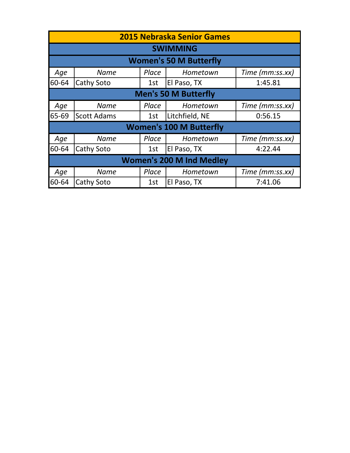|                                 | <b>2015 Nebraska Senior Games</b> |       |                                |                 |  |  |
|---------------------------------|-----------------------------------|-------|--------------------------------|-----------------|--|--|
|                                 |                                   |       | <b>SWIMMING</b>                |                 |  |  |
|                                 |                                   |       | <b>Women's 50 M Butterfly</b>  |                 |  |  |
| Age                             | <b>Name</b>                       | Place | Hometown                       | Time (mm:ss.xx) |  |  |
| 60-64                           | Cathy Soto                        | 1st   | El Paso, TX                    | 1:45.81         |  |  |
|                                 | <b>Men's 50 M Butterfly</b>       |       |                                |                 |  |  |
| Age                             | <b>Name</b>                       | Place | Hometown                       | Time (mm:ss.xx) |  |  |
| $65 - 69$                       | <b>Scott Adams</b>                | 1st   | Litchfield, NE                 | 0:56.15         |  |  |
|                                 |                                   |       | <b>Women's 100 M Butterfly</b> |                 |  |  |
| Age                             | <b>Name</b>                       | Place | Hometown                       | Time (mm:ss.xx) |  |  |
| 60-64                           | Cathy Soto                        | 1st   | El Paso, TX                    | 4:22.44         |  |  |
| <b>Women's 200 M Ind Medley</b> |                                   |       |                                |                 |  |  |
| Age                             | <b>Name</b>                       | Place | Hometown                       | Time (mm:ss.xx) |  |  |
| 60-64                           | Cathy Soto                        | 1st   | El Paso, TX                    | 7:41.06         |  |  |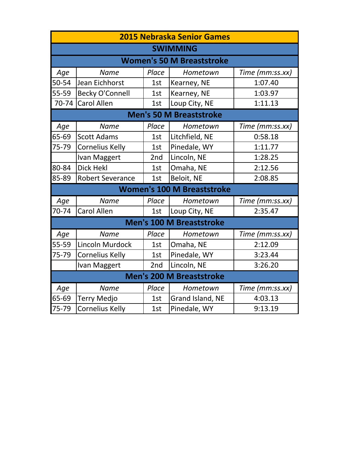|                                 | <b>2015 Nebraska Senior Games</b> |       |                                   |                 |  |  |
|---------------------------------|-----------------------------------|-------|-----------------------------------|-----------------|--|--|
|                                 |                                   |       | <b>SWIMMING</b>                   |                 |  |  |
|                                 |                                   |       | <b>Women's 50 M Breaststroke</b>  |                 |  |  |
| Age                             | <b>Name</b>                       | Place | Hometown                          | Time (mm:ss.xx) |  |  |
| 50-54                           | Jean Eichhorst                    | 1st   | Kearney, NE                       | 1:07.40         |  |  |
| 55-59                           | <b>Becky O'Connell</b>            | 1st   | Kearney, NE                       | 1:03.97         |  |  |
| 70-74                           | <b>Carol Allen</b>                | 1st   | Loup City, NE                     | 1:11.13         |  |  |
|                                 | <b>Men's 50 M Breaststroke</b>    |       |                                   |                 |  |  |
| Age                             | <b>Name</b>                       | Place | Hometown                          | Time (mm:ss.xx) |  |  |
| 65-69                           | <b>Scott Adams</b>                | 1st   | Litchfield, NE                    | 0:58.18         |  |  |
| 75-79                           | <b>Cornelius Kelly</b>            | 1st   | Pinedale, WY                      | 1:11.77         |  |  |
|                                 | Ivan Maggert                      | 2nd   | Lincoln, NE                       | 1:28.25         |  |  |
| 80-84                           | <b>Dick Hekl</b>                  | 1st   | Omaha, NE                         | 2:12.56         |  |  |
| 85-89                           | <b>Robert Severance</b>           | 1st   | Beloit, NE                        | 2:08.85         |  |  |
|                                 |                                   |       | <b>Women's 100 M Breaststroke</b> |                 |  |  |
| Age                             | <b>Name</b>                       | Place | Hometown                          | Time (mm:ss.xx) |  |  |
| 70-74                           | <b>Carol Allen</b>                | 1st   | Loup City, NE                     | 2:35.47         |  |  |
|                                 |                                   |       | <b>Men's 100 M Breaststroke</b>   |                 |  |  |
| Age                             | <b>Name</b>                       | Place | Hometown                          | Time (mm:ss.xx) |  |  |
| 55-59                           | <b>Lincoln Murdock</b>            | 1st   | Omaha, NE                         | 2:12.09         |  |  |
| 75-79                           | <b>Cornelius Kelly</b>            | 1st   | Pinedale, WY                      | 3:23.44         |  |  |
|                                 | Ivan Maggert                      | 2nd   | Lincoln, NE                       | 3:26.20         |  |  |
| <b>Men's 200 M Breaststroke</b> |                                   |       |                                   |                 |  |  |
| Age                             | <b>Name</b>                       | Place | Hometown                          | Time (mm:ss.xx) |  |  |
| 65-69                           | <b>Terry Medjo</b>                | 1st   | Grand Island, NE                  | 4:03.13         |  |  |
| 75-79                           | <b>Cornelius Kelly</b>            | 1st   | Pinedale, WY                      | 9:13.19         |  |  |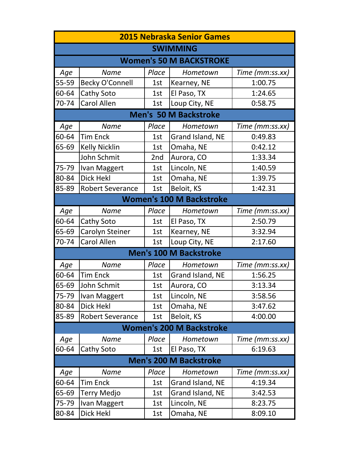| <b>2015 Nebraska Senior Games</b> |                                |       |                                 |                 |  |  |  |
|-----------------------------------|--------------------------------|-------|---------------------------------|-----------------|--|--|--|
|                                   |                                |       | <b>SWIMMING</b>                 |                 |  |  |  |
|                                   | <b>Women's 50 M BACKSTROKE</b> |       |                                 |                 |  |  |  |
| Age                               | <b>Name</b>                    | Place | Hometown                        | Time (mm:ss.xx) |  |  |  |
| 55-59                             | <b>Becky O'Connell</b>         | 1st   | Kearney, NE                     | 1:00.75         |  |  |  |
| 60-64                             | Cathy Soto                     | 1st   | El Paso, TX                     | 1:24.65         |  |  |  |
| 70-74                             | Carol Allen                    | 1st   | Loup City, NE                   | 0:58.75         |  |  |  |
|                                   |                                |       | <b>Men's 50 M Backstroke</b>    |                 |  |  |  |
| Age                               | <b>Name</b>                    | Place | Hometown                        | Time (mm:ss.xx) |  |  |  |
| 60-64                             | <b>Tim Enck</b>                | 1st   | Grand Island, NE                | 0:49.83         |  |  |  |
| 65-69                             | <b>Kelly Nicklin</b>           | 1st   | Omaha, NE                       | 0:42.12         |  |  |  |
|                                   | John Schmit                    | 2nd   | Aurora, CO                      | 1:33.34         |  |  |  |
| 75-79                             | Ivan Maggert                   | 1st   | Lincoln, NE                     | 1:40.59         |  |  |  |
| 80-84                             | Dick Hekl                      | 1st   | Omaha, NE                       | 1:39.75         |  |  |  |
| 85-89                             | <b>Robert Severance</b>        | 1st   | Beloit, KS                      | 1:42.31         |  |  |  |
|                                   |                                |       | <b>Women's 100 M Backstroke</b> |                 |  |  |  |
| Age                               | <b>Name</b>                    | Place | Hometown                        | Time (mm:ss.xx) |  |  |  |
| 60-64                             | Cathy Soto                     | 1st   | El Paso, TX                     | 2:50.79         |  |  |  |
| 65-69                             | Carolyn Steiner                | 1st   | Kearney, NE                     | 3:32.94         |  |  |  |
| 70-74                             | Carol Allen                    | 1st   | Loup City, NE                   | 2:17.60         |  |  |  |
|                                   |                                |       | <b>Men's 100 M Backstroke</b>   |                 |  |  |  |
| Age                               | <b>Name</b>                    | Place | Hometown                        | Time (mm:ss.xx) |  |  |  |
| 60-64                             | <b>Tim Enck</b>                | 1st   | Grand Island, NE                | 1:56.25         |  |  |  |
| 65-69                             | John Schmit                    | 1st   | Aurora, CO                      | 3:13.34         |  |  |  |
| 75-79                             | Ivan Maggert                   | 1st   | Lincoln, NE                     | 3:58.56         |  |  |  |
| 80-84                             | <b>Dick Hekl</b>               | 1st   | Omaha, NE                       | 3:47.62         |  |  |  |
| 85-89                             | <b>Robert Severance</b>        | 1st   | Beloit, KS                      | 4:00.00         |  |  |  |
|                                   |                                |       | <b>Women's 200 M Backstroke</b> |                 |  |  |  |
| Age                               | <b>Name</b>                    | Place | Hometown                        | Time (mm:ss.xx) |  |  |  |
| 60-64                             | Cathy Soto                     | 1st   | El Paso, TX                     | 6:19.63         |  |  |  |
|                                   |                                |       | <b>Men's 200 M Backstroke</b>   |                 |  |  |  |
| Age                               | <b>Name</b>                    | Place | Hometown                        | Time (mm:ss.xx) |  |  |  |
| 60-64                             | <b>Tim Enck</b>                | 1st   | Grand Island, NE                | 4:19.34         |  |  |  |
| 65-69                             | Terry Medjo                    | 1st   | Grand Island, NE                | 3:42.53         |  |  |  |
| 75-79                             | Ivan Maggert                   | 1st   | Lincoln, NE                     | 8:23.75         |  |  |  |
| 80-84                             | Dick Hekl                      | 1st   | Omaha, NE                       | 8:09.10         |  |  |  |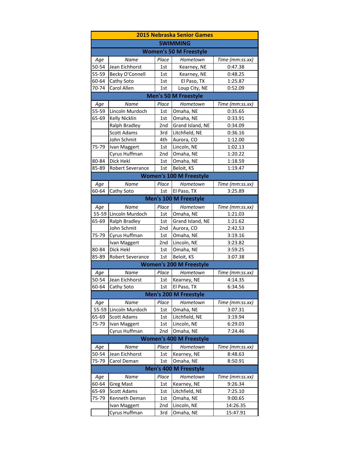|                              | <b>2015 Nebraska Senior Games</b> |                 |                                |                 |  |  |
|------------------------------|-----------------------------------|-----------------|--------------------------------|-----------------|--|--|
|                              | <b>SWIMMING</b>                   |                 |                                |                 |  |  |
|                              |                                   |                 | <b>Women's 50 M Freestyle</b>  |                 |  |  |
| Age                          | Name                              | Place           | Hometown                       | Time (mm:ss.xx) |  |  |
| 50-54                        | Jean Eichhorst                    | 1st             | Kearney, NE                    | 0:47.38         |  |  |
| 55-59                        | Becky O'Connell                   | 1st             | Kearney, NE                    | 0:48.25         |  |  |
| 60-64                        | Cathy Soto                        | 1st             | El Paso, TX                    | 1:25.87         |  |  |
| 70-74                        | Carol Allen                       | 1st             | Loup City, NE                  | 0:52.09         |  |  |
|                              |                                   |                 | <b>Men's 50 M Freestyle</b>    |                 |  |  |
| Age                          | Name                              | Place           | Hometown                       | Time (mm:ss.xx) |  |  |
| 55-59                        | Lincoln Murdoch                   | 1st             | Omaha, NE                      | 0:35.65         |  |  |
| 65-69                        | Kelly Nicklin                     | 1st             | Omaha, NE                      | 0:33.91         |  |  |
|                              | Ralph Bradley                     | 2nd             | Grand Island, NE               | 0:34.09         |  |  |
|                              | <b>Scott Adams</b>                | 3rd             | Litchfield, NE                 | 0:36.16         |  |  |
|                              | John Schmit                       | 4th             | Aurora, CO                     | 1:12.00         |  |  |
| 75-79                        | Ivan Maggert                      | 1st             | Lincoln, NE                    | 1:02.13         |  |  |
|                              | Cyrus Huffman                     | 2 <sub>nd</sub> | Omaha, NE                      | 1:20.22         |  |  |
| 80-84                        | Dick Hekl                         | 1st             | Omaha, NE                      | 1:18.59         |  |  |
| 85-89                        | Robert Severance                  | 1st             | Beloit, KS                     | 1:19.47         |  |  |
|                              |                                   |                 | <b>Women's 100 M Freestyle</b> |                 |  |  |
| Age                          | <b>Name</b>                       | Place           | Hometown                       | Time (mm:ss.xx) |  |  |
| 60-64                        | Cathy Soto                        | 1st             | El Paso, TX                    | 3:25.89         |  |  |
| <b>Men's 100 M Freestyle</b> |                                   |                 |                                |                 |  |  |
| Age                          | Name                              | Place           | Hometown                       | Time (mm:ss.xx) |  |  |
| 55-59                        | Lincoln Murdoch                   | 1st             | Omaha, NE                      | 1:21.03         |  |  |
| 65-69                        | Ralph Bradley                     | 1st             | Grand Island, NE               | 1:21.62         |  |  |
|                              | John Schmit                       | 2nd             | Aurora, CO                     | 2:42.53         |  |  |
| 75-79                        | Cyrus Huffman                     | 1st             | Omaha, NE                      | 3:19.16         |  |  |
|                              | Ivan Maggert                      | 2nd             | Lincoln, NE                    | 3:23.82         |  |  |
| 80-84                        | Dick Hekl                         | 1st             | Omaha, NE                      | 3:59.25         |  |  |
| 85-89                        | Robert Severance                  | 1st             | Beloit, KS                     | 3:07.38         |  |  |
|                              |                                   |                 | <b>Women's 200 M Freestyle</b> |                 |  |  |
| Age                          | Name                              | Place           | Hometown                       | Time (mm:ss.xx) |  |  |
| 50-54                        | Jean Eichhorst                    | 1st             | Kearney, NE                    | 4:14.35         |  |  |
| 60-64                        | Cathy Soto                        | 1st             | El Paso, TX                    | 6:34.56         |  |  |
|                              |                                   |                 | Men's 200 M Freestyle          |                 |  |  |
| Age                          | Name                              | Place           | Hometown                       | Time (mm:ss.xx) |  |  |
| 55-59                        | Lincoln Murdoch                   | 1st             | Omaha, NE                      | 3:07.31         |  |  |
| 65-69                        | Scott Adams                       | 1st             | Litchfield, NE                 | 3:19.94         |  |  |
| 75-79                        | Ivan Maggert                      | 1st             | Lincoln, NE                    | 6:29.03         |  |  |
|                              | Cyrus Huffman                     | 2nd             | Omaha, NE                      | 7:24.46         |  |  |
|                              |                                   |                 | <b>Women's 400 M Freestyle</b> |                 |  |  |
| Age                          | Name                              | Place           | Hometown                       | Time (mm:ss.xx) |  |  |
| 50-54                        | Jean Eichhorst                    | 1st             | Kearney, NE                    | 8:48.63         |  |  |
| 75-79                        | Carol Deman                       | 1st             | Omaha, NE                      | 8:50.91         |  |  |
|                              |                                   |                 | <b>Men's 400 M Freestyle</b>   |                 |  |  |
| Age                          | Name                              | Place           | Hometown                       | Time (mm:ss.xx) |  |  |
| 60-64                        | <b>Greg Mast</b>                  | 1st             | Kearney, NE                    | 9:26.34         |  |  |
| 65-69                        | Scott Adams                       | 1st             | Litchfield, NE                 | 7:25.10         |  |  |
| 75-79                        | Kenneth Deman                     | 1st             | Omaha, NE                      | 9:00.65         |  |  |
|                              | Ivan Maggert                      | 2nd             | Lincoln, NE                    | 14:26.35        |  |  |
|                              | Cyrus Huffman                     | 3rd             | Omaha, NE                      | 15:47.91        |  |  |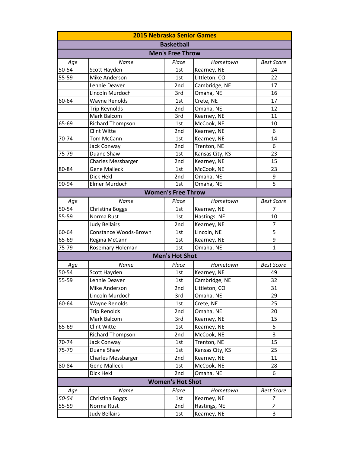| <b>2015 Nebraska Senior Games</b> |                           |                         |                 |                   |  |  |  |
|-----------------------------------|---------------------------|-------------------------|-----------------|-------------------|--|--|--|
|                                   | <b>Basketball</b>         |                         |                 |                   |  |  |  |
| <b>Men's Free Throw</b>           |                           |                         |                 |                   |  |  |  |
| Age                               | <b>Name</b>               | Place                   | Hometown        | <b>Best Score</b> |  |  |  |
| 50-54                             | Scott Hayden              | 1st                     | Kearney, NE     | 24                |  |  |  |
| 55-59                             | Mike Anderson             | 1st                     | Littleton, CO   | 22                |  |  |  |
|                                   | Lennie Deaver             | 2nd                     | Cambridge, NE   | 17                |  |  |  |
|                                   | Lincoln Murdoch           | 3rd                     | Omaha, NE       | 16                |  |  |  |
| 60-64                             | Wayne Renolds             | 1st                     | Crete, NE       | 17                |  |  |  |
|                                   | <b>Trip Reynolds</b>      | 2nd                     | Omaha, NE       | 12                |  |  |  |
|                                   | Mark Balcom               | 3rd                     | Kearney, NE     | 11                |  |  |  |
| 65-69                             | <b>Richard Thompson</b>   | 1st                     | McCook, NE      | 10                |  |  |  |
|                                   | Clint Witte               | 2nd                     | Kearney, NE     | 6                 |  |  |  |
| 70-74                             | <b>Tom McCann</b>         | 1st                     | Kearney, NE     | 14                |  |  |  |
|                                   | Jack Conway               | 2nd                     | Trenton, NE     | 6                 |  |  |  |
| 75-79                             | Duane Shaw                | 1st                     | Kansas City, KS | 23                |  |  |  |
|                                   | <b>Charles Messbarger</b> | 2nd                     | Kearney, NE     | 15                |  |  |  |
| 80-84                             | <b>Gene Malleck</b>       | 1st                     | McCook, NE      | 23                |  |  |  |
|                                   | Dick Hekl                 | 2nd                     | Omaha, NE       | 9                 |  |  |  |
| 90-94                             | Elmer Murdoch             | 1st                     | Omaha, NE       | $\overline{5}$    |  |  |  |
| <b>Women's Free Throw</b>         |                           |                         |                 |                   |  |  |  |
| Age                               | Name                      | Place                   | Hometown        | <b>Best Score</b> |  |  |  |
| 50-54                             | Christina Boggs           | 1st                     | Kearney, NE     | 7                 |  |  |  |
| 55-59                             | Norma Rust                | 1st                     | Hastings, NE    | 10                |  |  |  |
|                                   | <b>Judy Bellairs</b>      | 2nd                     | Kearney, NE     | 7                 |  |  |  |
| 60-64                             | Constance Woods-Brown     | 1st                     | Lincoln, NE     | 5                 |  |  |  |
| 65-69                             | Regina McCann             | 1st                     | Kearney, NE     | 9                 |  |  |  |
| 75-79                             | Rosemary Holeman          | 1st                     | Omaha, NE       | $\mathbf{1}$      |  |  |  |
|                                   |                           | <b>Men's Hot Shot</b>   |                 |                   |  |  |  |
| Age                               | Name                      | Place                   | Hometown        | <b>Best Score</b> |  |  |  |
| 50-54                             | Scott Hayden              | 1st                     | Kearney, NE     | 49                |  |  |  |
| 55-59                             | Lennie Deaver             | 1st                     | Cambridge, NE   | 32                |  |  |  |
|                                   | Mike Anderson             | 2nd                     | Littleton, CO   | 31                |  |  |  |
|                                   | Lincoln Murdoch           | 3rd                     | Omaha, NE       | 29                |  |  |  |
| 60-64                             | Wayne Renolds             | 1st                     | Crete, NE       | 25                |  |  |  |
|                                   | <b>Trip Renolds</b>       | 2nd                     | Omaha, NE       | 20                |  |  |  |
|                                   | Mark Balcom               | 3rd                     | Kearney, NE     | 15                |  |  |  |
| 65-69                             | Clint Witte               | 1st                     | Kearney, NE     | 5                 |  |  |  |
|                                   | <b>Richard Thompson</b>   | 2nd                     | McCook, NE      | 3                 |  |  |  |
| 70-74                             | Jack Conway               | 1st                     | Trenton, NE     | 15                |  |  |  |
| 75-79                             | Duane Shaw                | 1st                     | Kansas City, KS | 25                |  |  |  |
|                                   | Charles Messbarger        | 2nd                     | Kearney, NE     | 11                |  |  |  |
| 80-84                             | <b>Gene Malleck</b>       | 1st                     | McCook, NE      | 28                |  |  |  |
|                                   | Dick Hekl                 | 2nd                     | Omaha, NE       | 6                 |  |  |  |
|                                   |                           | <b>Women's Hot Shot</b> |                 |                   |  |  |  |
| Age                               | Name                      | Place                   | Hometown        | <b>Best Score</b> |  |  |  |
| 50-54                             | Christina Boggs           | 1st                     | Kearney, NE     | 7                 |  |  |  |
| 55-59                             | Norma Rust                | 2nd                     | Hastings, NE    | 7                 |  |  |  |
|                                   | <b>Judy Bellairs</b>      | 1st                     | Kearney, NE     | 3                 |  |  |  |
|                                   |                           |                         |                 |                   |  |  |  |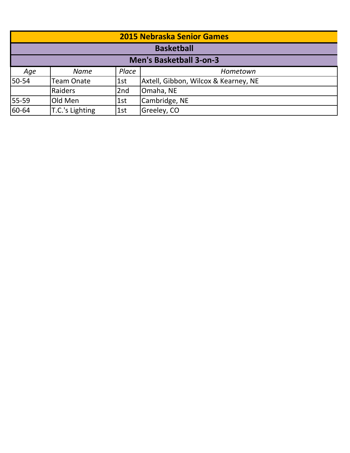| <b>2015 Nebraska Senior Games</b> |                   |       |                                      |  |  |
|-----------------------------------|-------------------|-------|--------------------------------------|--|--|
|                                   | <b>Basketball</b> |       |                                      |  |  |
|                                   |                   |       | <b>Men's Basketball 3-on-3</b>       |  |  |
| Age                               | <b>Name</b>       | Place | Hometown                             |  |  |
| 50-54                             | <b>Team Onate</b> | 1st   | Axtell, Gibbon, Wilcox & Kearney, NE |  |  |
|                                   | Raiders           | 2nd   | Omaha, NE                            |  |  |
| 55-59                             | Old Men           | 1st   | Cambridge, NE                        |  |  |
| 60-64                             | T.C.'s Lighting   | 1st   | Greeley, CO                          |  |  |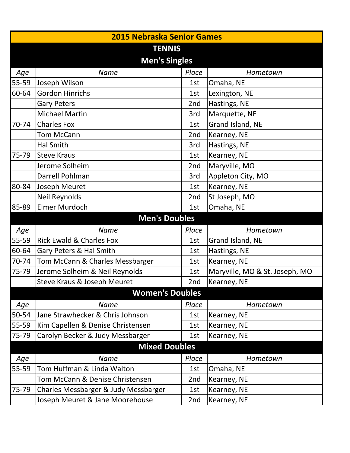| <b>2015 Nebraska Senior Games</b> |                                      |                 |                                |  |  |
|-----------------------------------|--------------------------------------|-----------------|--------------------------------|--|--|
| <b>TENNIS</b>                     |                                      |                 |                                |  |  |
| <b>Men's Singles</b>              |                                      |                 |                                |  |  |
| Age                               | <b>Name</b>                          | Place           | Hometown                       |  |  |
| 55-59                             | Joseph Wilson                        | 1st             | Omaha, NE                      |  |  |
| 60-64                             | <b>Gordon Hinrichs</b>               | 1st             | Lexington, NE                  |  |  |
|                                   | <b>Gary Peters</b>                   | 2nd             | Hastings, NE                   |  |  |
|                                   | <b>Michael Martin</b>                | 3rd             | Marquette, NE                  |  |  |
| 70-74                             | <b>Charles Fox</b>                   | 1st             | Grand Island, NE               |  |  |
|                                   | <b>Tom McCann</b>                    | 2nd             | Kearney, NE                    |  |  |
|                                   | <b>Hal Smith</b>                     | 3rd             | Hastings, NE                   |  |  |
| 75-79                             | <b>Steve Kraus</b>                   | 1st             | Kearney, NE                    |  |  |
|                                   | Jerome Solheim                       | 2nd             | Maryville, MO                  |  |  |
|                                   | Darrell Pohlman                      | 3rd             | Appleton City, MO              |  |  |
| 80-84                             | Joseph Meuret                        | 1st             | Kearney, NE                    |  |  |
|                                   | Neil Reynolds                        | 2nd             | St Joseph, MO                  |  |  |
| 85-89                             | Elmer Murdoch                        | 1st             | Omaha, NE                      |  |  |
|                                   | <b>Men's Doubles</b>                 |                 |                                |  |  |
| Age                               | <b>Name</b>                          | Place           | Hometown                       |  |  |
| 55-59                             | <b>Rick Ewald &amp; Charles Fox</b>  | 1st             | Grand Island, NE               |  |  |
| 60-64                             | Gary Peters & Hal Smith              | 1st             | Hastings, NE                   |  |  |
| 70-74                             | Tom McCann & Charles Messbarger      | 1st             | Kearney, NE                    |  |  |
| 75-79                             | Jerome Solheim & Neil Reynolds       | 1st             | Maryville, MO & St. Joseph, MO |  |  |
|                                   | Steve Kraus & Joseph Meuret          | 2nd             | Kearney, NE                    |  |  |
|                                   | <b>Women's Doubles</b>               |                 |                                |  |  |
| Age                               | <b>Name</b>                          | Place           | Hometown                       |  |  |
| 50-54                             | Jane Strawhecker & Chris Johnson     | 1st             | Kearney, NE                    |  |  |
| 55-59                             | Kim Capellen & Denise Christensen    | 1st             | Kearney, NE                    |  |  |
| 75-79                             | Carolyn Becker & Judy Messbarger     | 1st             | Kearney, NE                    |  |  |
|                                   | <b>Mixed Doubles</b>                 |                 |                                |  |  |
| Age                               | <b>Name</b>                          | Place           | Hometown                       |  |  |
| 55-59                             | Tom Huffman & Linda Walton           | 1st             | Omaha, NE                      |  |  |
|                                   | Tom McCann & Denise Christensen      | 2 <sub>nd</sub> | Kearney, NE                    |  |  |
| 75-79                             | Charles Messbarger & Judy Messbarger | 1st             | Kearney, NE                    |  |  |
|                                   | Joseph Meuret & Jane Moorehouse      | 2 <sub>nd</sub> | Kearney, NE                    |  |  |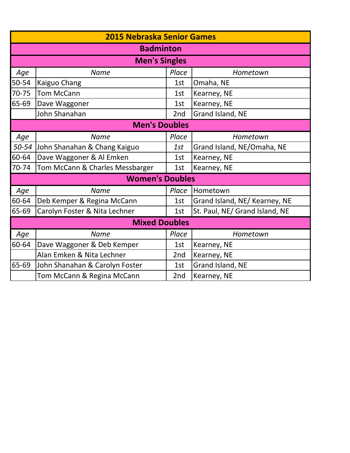|                      | <b>2015 Nebraska Senior Games</b>                     |                 |                                |  |  |  |
|----------------------|-------------------------------------------------------|-----------------|--------------------------------|--|--|--|
|                      | <b>Badminton</b>                                      |                 |                                |  |  |  |
|                      | <b>Men's Singles</b>                                  |                 |                                |  |  |  |
| Age                  | <b>Name</b>                                           | Place           | Hometown                       |  |  |  |
| 50-54                | Kaiguo Chang                                          | 1st             | Omaha, NE                      |  |  |  |
| 70-75                | <b>Tom McCann</b>                                     | 1st             | Kearney, NE                    |  |  |  |
| 65-69                | Dave Waggoner                                         | 1st             | Kearney, NE                    |  |  |  |
|                      | John Shanahan                                         | 2nd             | Grand Island, NE               |  |  |  |
| <b>Men's Doubles</b> |                                                       |                 |                                |  |  |  |
| Age                  | <b>Name</b>                                           | Place           | Hometown                       |  |  |  |
| 50-54                | John Shanahan & Chang Kaiguo                          | 1st             | Grand Island, NE/Omaha, NE     |  |  |  |
| 60-64                | Dave Waggoner & Al Emken                              | 1st             | Kearney, NE                    |  |  |  |
| 70-74                | Tom McCann & Charles Messbarger<br>Kearney, NE<br>1st |                 |                                |  |  |  |
|                      | <b>Women's Doubles</b>                                |                 |                                |  |  |  |
| Age                  | <b>Name</b>                                           | Place           | Hometown                       |  |  |  |
| 60-64                | Deb Kemper & Regina McCann                            | 1st             | Grand Island, NE/ Kearney, NE  |  |  |  |
| 65-69                | Carolyn Foster & Nita Lechner                         | 1st             | St. Paul, NE/ Grand Island, NE |  |  |  |
|                      | <b>Mixed Doubles</b>                                  |                 |                                |  |  |  |
| Age                  | <b>Name</b>                                           | Place           | Hometown                       |  |  |  |
| 60-64                | Dave Waggoner & Deb Kemper                            | 1st             | Kearney, NE                    |  |  |  |
|                      | Alan Emken & Nita Lechner                             | 2 <sub>nd</sub> | Kearney, NE                    |  |  |  |
| 65-69                | John Shanahan & Carolyn Foster                        | 1st             | Grand Island, NE               |  |  |  |
|                      | Tom McCann & Regina McCann                            | 2nd             | Kearney, NE                    |  |  |  |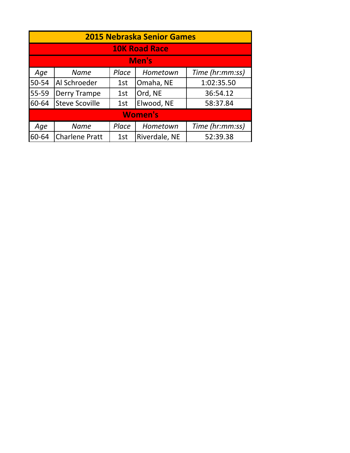|       | <b>2015 Nebraska Senior Games</b> |       |                      |                 |  |  |
|-------|-----------------------------------|-------|----------------------|-----------------|--|--|
|       |                                   |       | <b>10K Road Race</b> |                 |  |  |
|       | Men's                             |       |                      |                 |  |  |
| Age   | <b>Name</b>                       | Place | Hometown             | Time (hr:mm:ss) |  |  |
| 50-54 | Al Schroeder                      | 1st   | Omaha, NE            | 1:02:35.50      |  |  |
| 55-59 | Derry Trampe                      | 1st   | Ord, NE              | 36:54.12        |  |  |
| 60-64 | <b>Steve Scoville</b>             | 1st   | Elwood, NE           | 58:37.84        |  |  |
|       | <b>Women's</b>                    |       |                      |                 |  |  |
| Age   | <b>Name</b>                       | Place | Hometown             | Time (hr:mm:ss) |  |  |
| 60-64 | <b>Charlene Pratt</b>             | 1st   | Riverdale, NE        | 52:39.38        |  |  |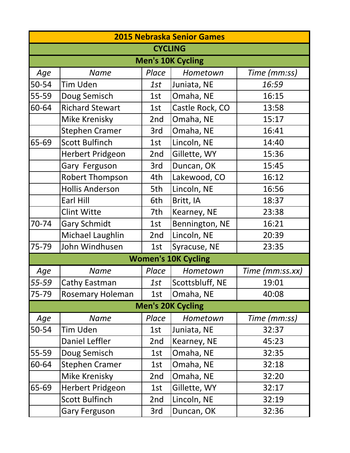|       | <b>2015 Nebraska Senior Games</b> |       |                            |                 |  |  |
|-------|-----------------------------------|-------|----------------------------|-----------------|--|--|
|       | <b>CYCLING</b>                    |       |                            |                 |  |  |
|       |                                   |       | <b>Men's 10K Cycling</b>   |                 |  |  |
| Age   | <b>Name</b>                       | Place | Hometown                   | Time (mm:ss)    |  |  |
| 50-54 | Tim Uden                          | 1st   | Juniata, NE                | 16:59           |  |  |
| 55-59 | Doug Semisch                      | 1st   | Omaha, NE                  | 16:15           |  |  |
| 60-64 | <b>Richard Stewart</b>            | 1st   | Castle Rock, CO            | 13:58           |  |  |
|       | Mike Krenisky                     | 2nd   | Omaha, NE                  | 15:17           |  |  |
|       | <b>Stephen Cramer</b>             | 3rd   | Omaha, NE                  | 16:41           |  |  |
| 65-69 | <b>Scott Bulfinch</b>             | 1st   | Lincoln, NE                | 14:40           |  |  |
|       | <b>Herbert Pridgeon</b>           | 2nd   | Gillette, WY               | 15:36           |  |  |
|       | Gary Ferguson                     | 3rd   | Duncan, OK                 | 15:45           |  |  |
|       | <b>Robert Thompson</b>            | 4th   | Lakewood, CO               | 16:12           |  |  |
|       | <b>Hollis Anderson</b>            | 5th   | Lincoln, NE                | 16:56           |  |  |
|       | Earl Hill                         | 6th   | Britt, IA                  | 18:37           |  |  |
|       | <b>Clint Witte</b>                | 7th   | Kearney, NE                | 23:38           |  |  |
| 70-74 | <b>Gary Schmidt</b>               | 1st   | Bennington, NE             | 16:21           |  |  |
|       | Michael Laughlin                  | 2nd   | Lincoln, NE                | 20:39           |  |  |
| 75-79 | John Windhusen                    | 1st   | Syracuse, NE               | 23:35           |  |  |
|       |                                   |       | <b>Women's 10K Cycling</b> |                 |  |  |
| Age   | <b>Name</b>                       | Place | Hometown                   | Time (mm:ss.xx) |  |  |
| 55-59 | Cathy Eastman                     | 1st   | Scottsbluff, NE            | 19:01           |  |  |
| 75-79 | <b>Rosemary Holeman</b>           | 1st   | Omaha, NE                  | 40:08           |  |  |
|       |                                   |       | <b>Men's 20K Cycling</b>   |                 |  |  |
| Age   | <b>Name</b>                       | Place | Hometown                   | Time (mm:ss)    |  |  |
| 50-54 | Tim Uden                          | 1st   | Juniata, NE                | 32:37           |  |  |
|       | <b>Daniel Leffler</b>             | 2nd   | Kearney, NE                | 45:23           |  |  |
| 55-59 | Doug Semisch                      | 1st   | Omaha, NE                  | 32:35           |  |  |
| 60-64 | <b>Stephen Cramer</b>             | 1st   | Omaha, NE                  | 32:18           |  |  |
|       | Mike Krenisky                     | 2nd   | Omaha, NE                  | 32:20           |  |  |
| 65-69 | <b>Herbert Pridgeon</b>           | 1st   | Gillette, WY               | 32:17           |  |  |
|       | Scott Bulfinch                    | 2nd   | Lincoln, NE                | 32:19           |  |  |
|       | <b>Gary Ferguson</b>              | 3rd   | Duncan, OK                 | 32:36           |  |  |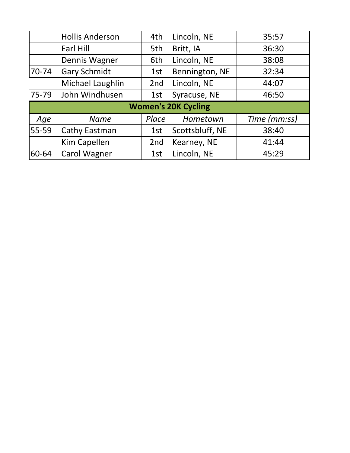|       | <b>Hollis Anderson</b> | 4th             | Lincoln, NE                | 35:57        |
|-------|------------------------|-----------------|----------------------------|--------------|
|       | <b>Earl Hill</b>       | 5th             | Britt, IA                  | 36:30        |
|       | Dennis Wagner          | 6th             | Lincoln, NE                | 38:08        |
| 70-74 | <b>Gary Schmidt</b>    | 1st             | Bennington, NE             | 32:34        |
|       | Michael Laughlin       | 2 <sub>nd</sub> | Lincoln, NE                | 44:07        |
| 75-79 | John Windhusen         | 1st             | Syracuse, NE               | 46:50        |
|       |                        |                 | <b>Women's 20K Cycling</b> |              |
| Age   | <b>Name</b>            | Place           | Hometown                   | Time (mm:ss) |
| 55-59 | Cathy Eastman          | 1st             | Scottsbluff, NE            | 38:40        |
|       | Kim Capellen           | 2 <sub>nd</sub> | Kearney, NE                | 41:44        |
| 60-64 | <b>Carol Wagner</b>    | 1st             | Lincoln, NE                | 45:29        |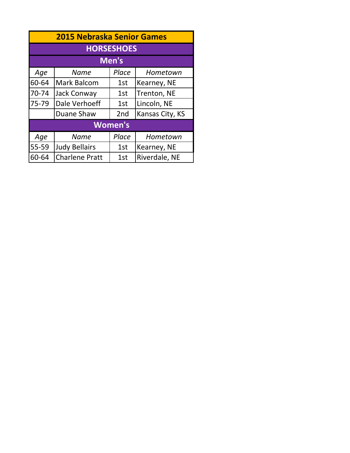| <b>2015 Nebraska Senior Games</b> |                                                  |                   |               |  |
|-----------------------------------|--------------------------------------------------|-------------------|---------------|--|
|                                   |                                                  | <b>HORSESHOES</b> |               |  |
|                                   |                                                  | Men's             |               |  |
| Age                               | <b>Name</b>                                      | Place             | Hometown      |  |
| 60-64                             | <b>Mark Balcom</b>                               | 1st               | Kearney, NE   |  |
| 70-74                             | <b>Jack Conway</b>                               | 1st               | Trenton, NE   |  |
| 75-79                             | Dale Verhoeff                                    | 1st               | Lincoln, NE   |  |
|                                   | Kansas City, KS<br>Duane Shaw<br>2 <sub>nd</sub> |                   |               |  |
|                                   |                                                  | <b>Women's</b>    |               |  |
| Age                               | <b>Name</b>                                      | Place             | Hometown      |  |
| 55-59                             | <b>Judy Bellairs</b>                             | 1st               | Kearney, NE   |  |
| 60-64                             | <b>Charlene Pratt</b>                            | 1st               | Riverdale, NE |  |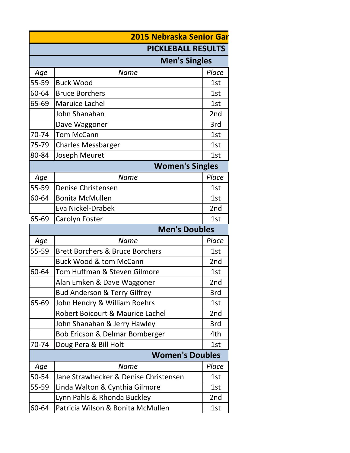|       | <b>2015 Nebraska Senior Gar</b>                   |       |  |
|-------|---------------------------------------------------|-------|--|
|       | <b>PICKLEBALL RESULTS</b>                         |       |  |
|       | <b>Men's Singles</b>                              |       |  |
| Age   | <b>Name</b>                                       | Place |  |
| 55-59 | <b>Buck Wood</b>                                  | 1st   |  |
| 60-64 | <b>Bruce Borchers</b>                             | 1st   |  |
| 65-69 | <b>Maruice Lachel</b>                             | 1st   |  |
|       | John Shanahan                                     | 2nd   |  |
|       | Dave Waggoner                                     | 3rd   |  |
| 70-74 | <b>Tom McCann</b>                                 | 1st   |  |
| 75-79 | <b>Charles Messbarger</b>                         | 1st   |  |
| 80-84 | Joseph Meuret                                     | 1st   |  |
|       | <b>Women's Singles</b>                            |       |  |
| Age   | <b>Name</b>                                       | Place |  |
| 55-59 | Denise Christensen                                | 1st   |  |
| 60-64 | <b>Bonita McMullen</b>                            | 1st   |  |
|       | <b>Eva Nickel-Drabek</b>                          | 2nd   |  |
| 65-69 | Carolyn Foster                                    | 1st   |  |
|       | <b>Men's Doubles</b>                              |       |  |
| Age   | <b>Name</b>                                       | Place |  |
| 55-59 | <b>Brett Borchers &amp; Bruce Borchers</b><br>1st |       |  |
|       | <b>Buck Wood &amp; tom McCann</b>                 | 2nd   |  |
| 60-64 | Tom Huffman & Steven Gilmore<br>1st               |       |  |
|       | Alan Emken & Dave Waggoner                        | 2nd   |  |
|       | Bud Anderson & Terry Gilfrey                      | 3rd   |  |
| 65-69 | John Hendry & William Roehrs                      | 1st   |  |
|       | Robert Boicourt & Maurice Lachel                  | 2nd   |  |
|       | John Shanahan & Jerry Hawley                      | 3rd   |  |
|       | Bob Ericson & Delmar Bomberger                    | 4th   |  |
| 70-74 | Doug Pera & Bill Holt<br>1st                      |       |  |
|       | <b>Women's Doubles</b>                            |       |  |
| Age   | <b>Name</b>                                       | Place |  |
| 50-54 | Jane Strawhecker & Denise Christensen             | 1st   |  |
| 55-59 | Linda Walton & Cynthia Gilmore                    | 1st   |  |
|       | Lynn Pahls & Rhonda Buckley                       | 2nd   |  |
| 60-64 | Patricia Wilson & Bonita McMullen                 | 1st   |  |
|       |                                                   |       |  |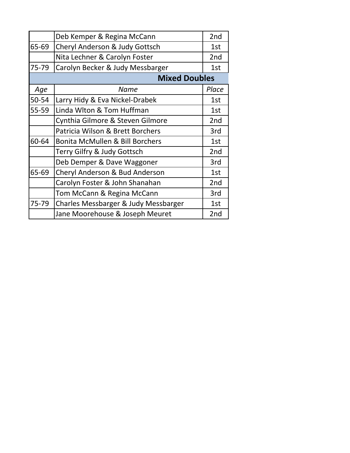|       | Deb Kemper & Regina McCann                 | 2 <sub>nd</sub> |
|-------|--------------------------------------------|-----------------|
| 65-69 | Cheryl Anderson & Judy Gottsch             |                 |
|       | Nita Lechner & Carolyn Foster              | 2nd             |
| 75-79 | Carolyn Becker & Judy Messbarger           | 1st             |
|       | <b>Mixed Doubles</b>                       |                 |
| Age   | Name                                       | Place           |
| 50-54 | Larry Hidy & Eva Nickel-Drabek             | 1st             |
| 55-59 | Linda Wlton & Tom Huffman                  | 1st             |
|       | Cynthia Gilmore & Steven Gilmore           | 2 <sub>nd</sub> |
|       | Patricia Wilson & Brett Borchers           | 3rd             |
| 60-64 | <b>Bonita McMullen &amp; Bill Borchers</b> | 1st             |
|       | Terry Gilfry & Judy Gottsch                | 2nd             |
|       | Deb Demper & Dave Waggoner                 | 3rd             |
| 65-69 | Cheryl Anderson & Bud Anderson             | 1st             |
|       | Carolyn Foster & John Shanahan             | 2nd             |
|       | Tom McCann & Regina McCann                 | 3rd             |
| 75-79 | Charles Messbarger & Judy Messbarger       | 1st             |
|       | Jane Moorehouse & Joseph Meuret            | 2nd             |
|       |                                            |                 |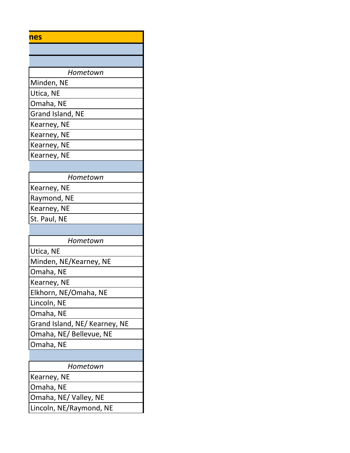| nes |  |
|-----|--|
|-----|--|

| Hometown         |
|------------------|
| Minden, NE       |
| Utica, NE        |
| Omaha, NE        |
| Grand Island, NE |
| Kearney, NE      |
| Kearney, NE      |
| Kearney, NE      |
| Kearney, NE      |
|                  |
| Hometown         |
| Kearney, NE      |
| Raymond, NE      |
| Kearney, NE      |
| St. Paul, NE     |
|                  |

| Hometown                      |
|-------------------------------|
| Utica, NE                     |
| Minden, NE/Kearney, NE        |
| Omaha, NE                     |
| Kearney, NE                   |
| Elkhorn, NE/Omaha, NE         |
| Lincoln, NE                   |
| Omaha, NE                     |
| Grand Island, NE/ Kearney, NE |
| Omaha, NE/ Bellevue, NE       |
| Omaha, NE                     |
|                               |
| Hometown                      |

| 110111CLOW11            |
|-------------------------|
| Kearney, NE             |
| Omaha, NE               |
| Omaha, NE/Valley, NE    |
| Lincoln, NE/Raymond, NE |